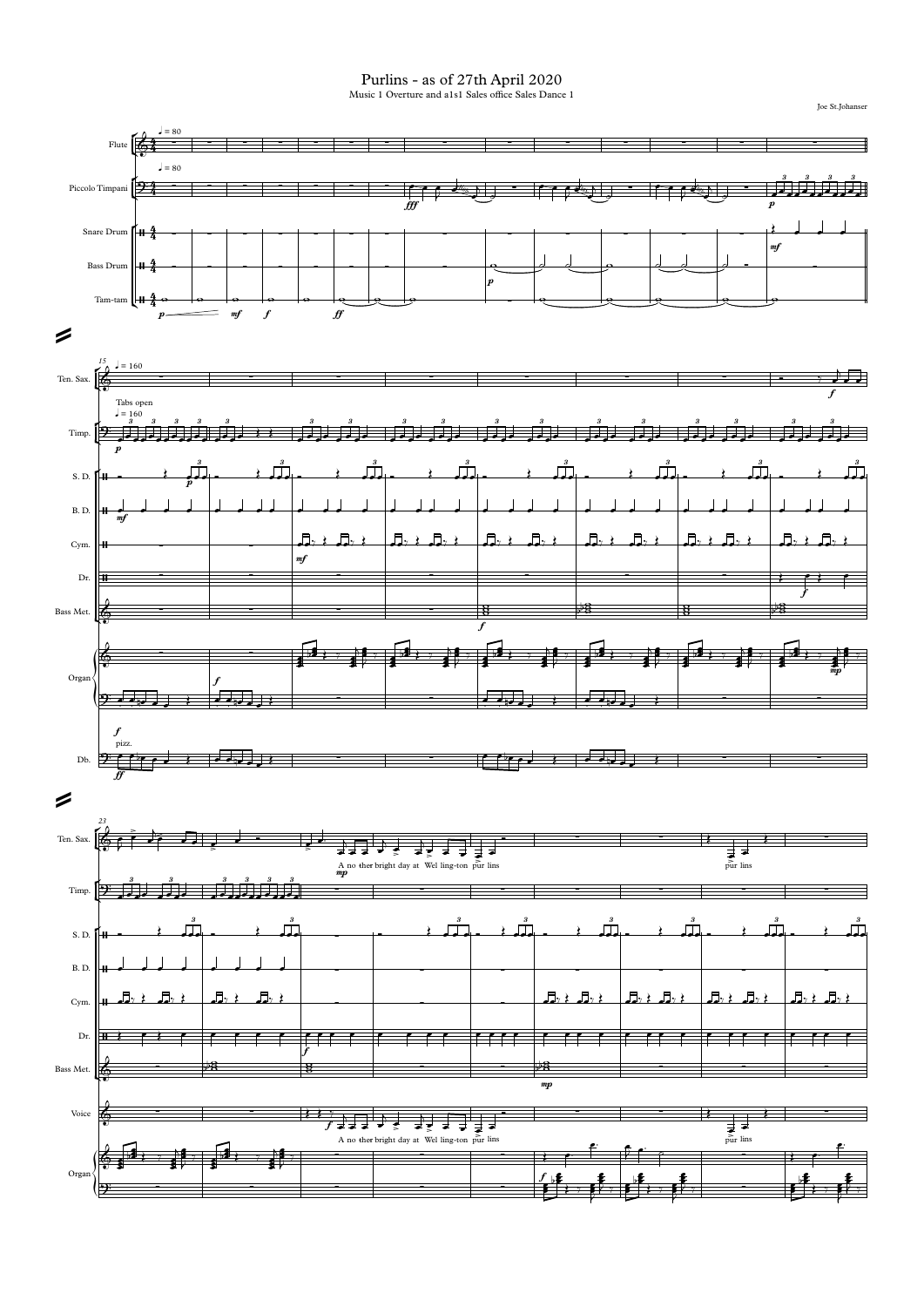Purlins - as of 27th April 2020 Music 1 Overture and a1s1 Sales office Sales Dance 1 and the step of the St.Johanser Music 1 Overture and a1s1 Sales office Sales Dance 1



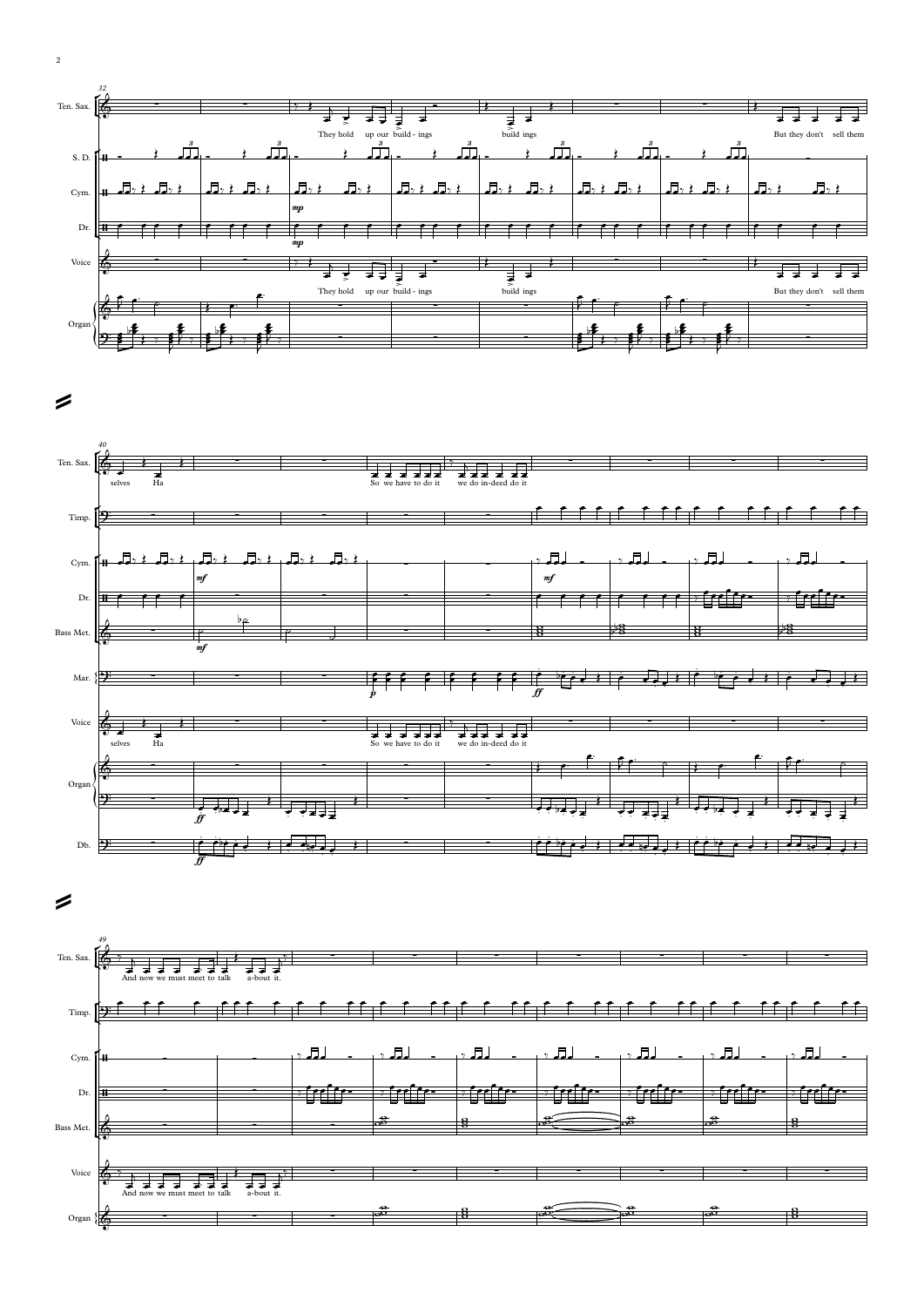







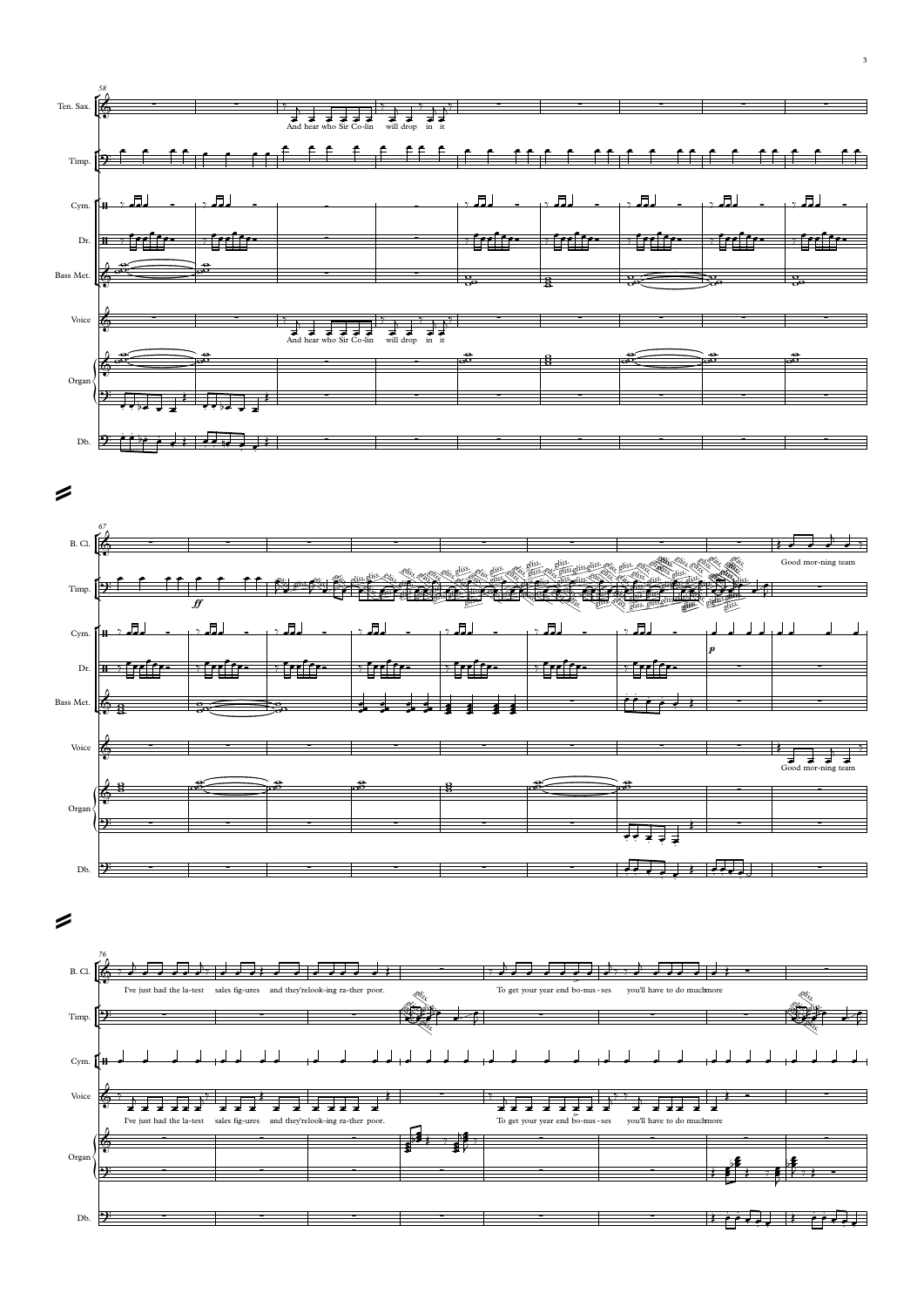

 $\overline{2}$ B. Cl.  $\left[\begin{array}{ccc} \bullet & \bullet & \bullet & \bullet \end{array}\right]$ *76* & <sup>∑</sup> <sup>&</sup>gt; ‰ œ <sup>j</sup> <sup>œ</sup> <sup>œ</sup> <sup>œ</sup> <sup>œ</sup> <sup>œ</sup> j‰ <sup>œ</sup> <sup>œ</sup> <sup>œ</sup> <sup>Œ</sup> <sup>œ</sup> <sup>œ</sup> <sup>œ</sup> <sup>œ</sup> <sup>œ</sup> <sup>œ</sup> <sup>œ</sup> <sup>Œ</sup> ‰ <sup>œ</sup> <sup>j</sup> <sup>œ</sup> <sup>œ</sup> <sup>œ</sup> <sup>œ</sup> <sup>œ</sup> <sup>œ</sup> <sup>œ</sup> j‰ ‰ <sup>œ</sup> <sup>j</sup> <sup>œ</sup> <sup>œ</sup> <sup>œ</sup> <sup>œ</sup> <sup>œ</sup> <sup>Œ</sup> <sup>Ó</sup> ∑ =



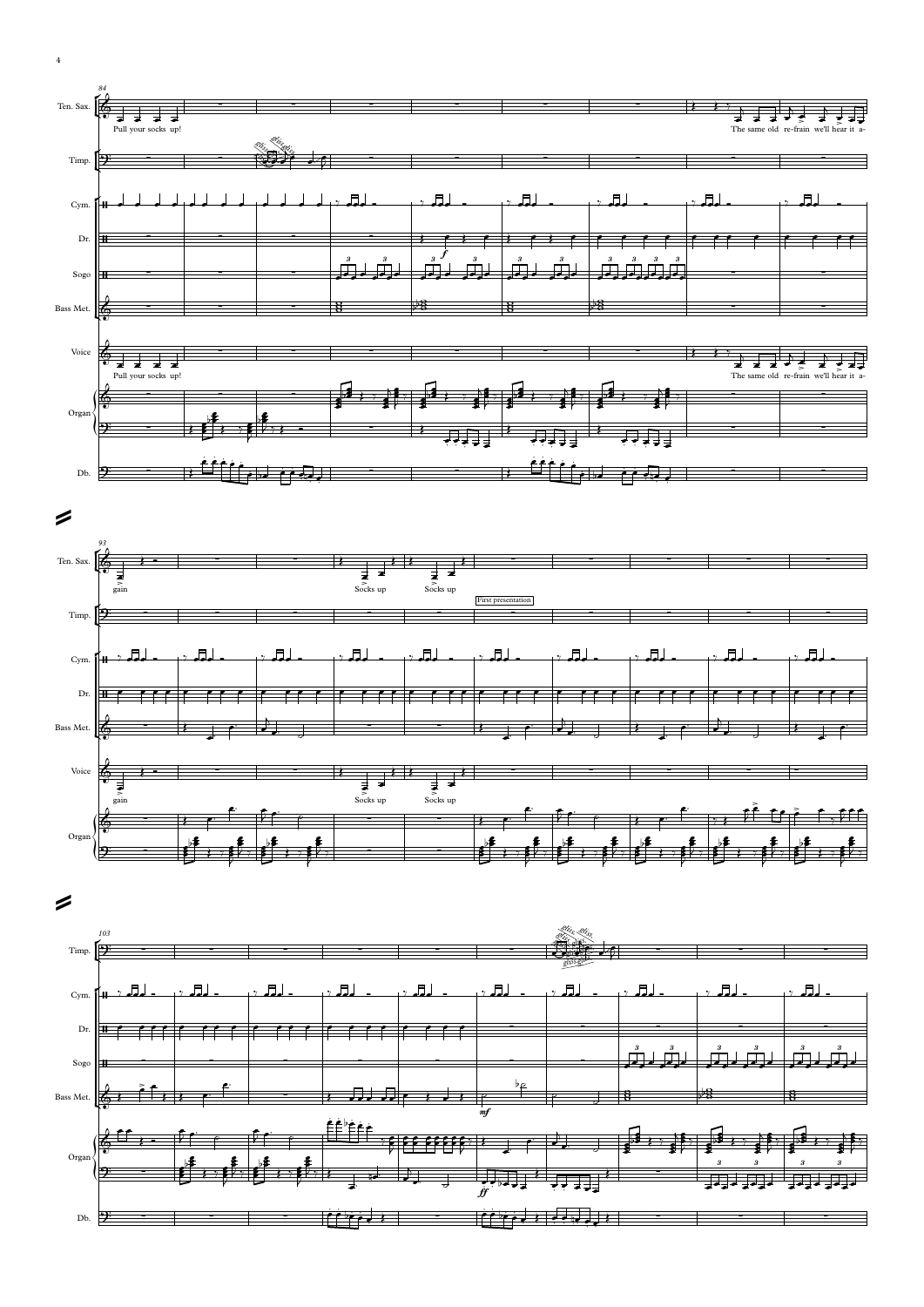



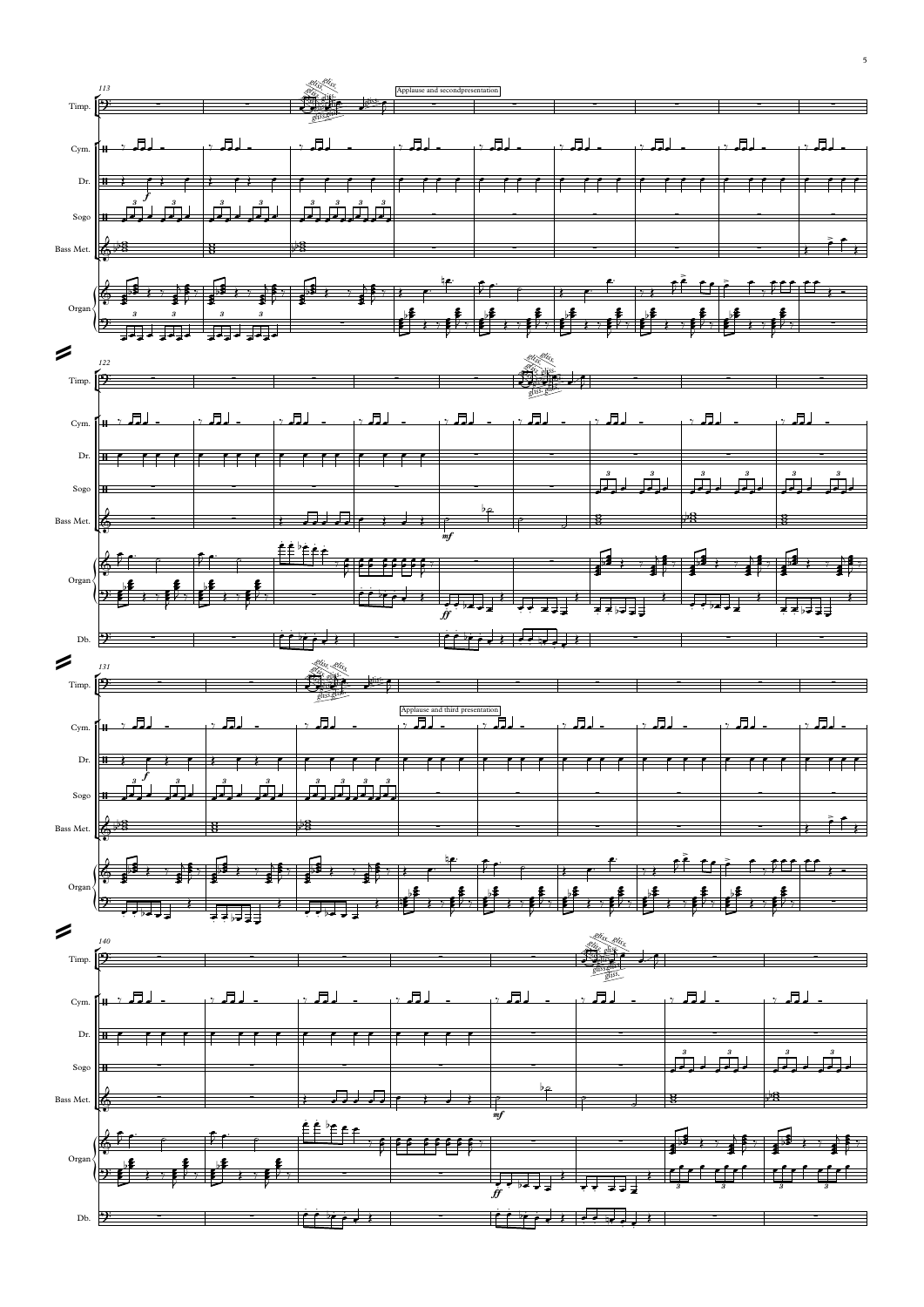

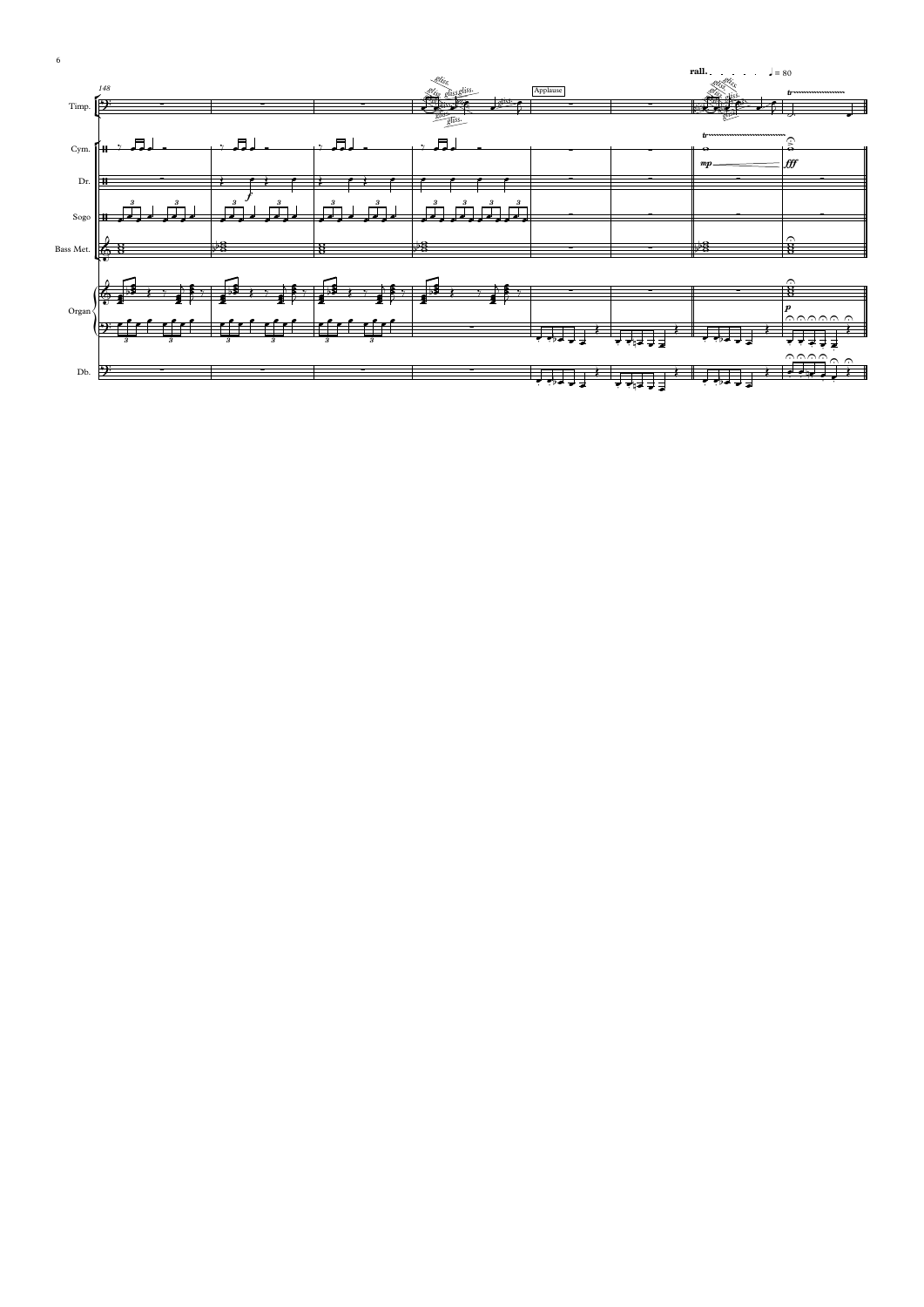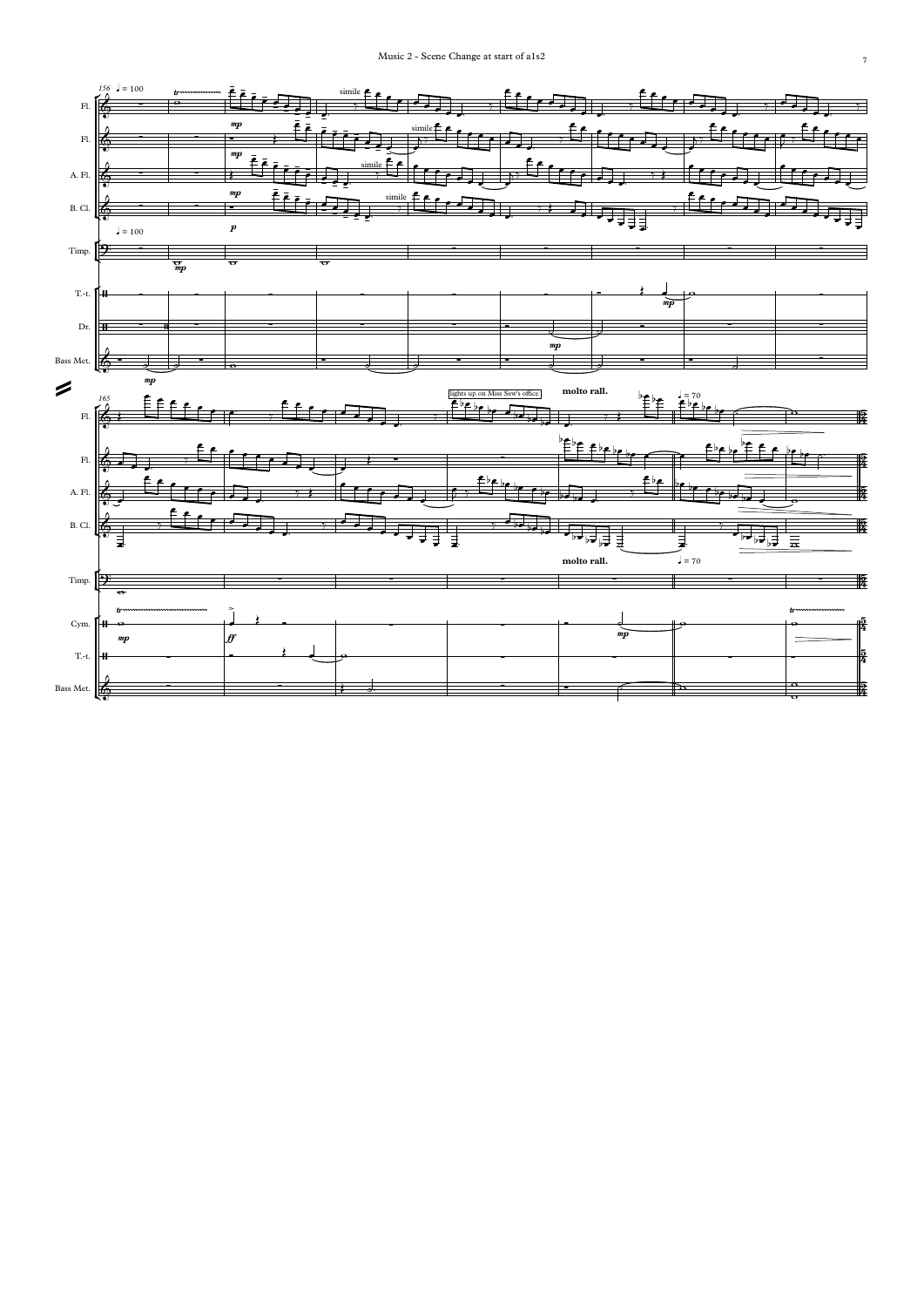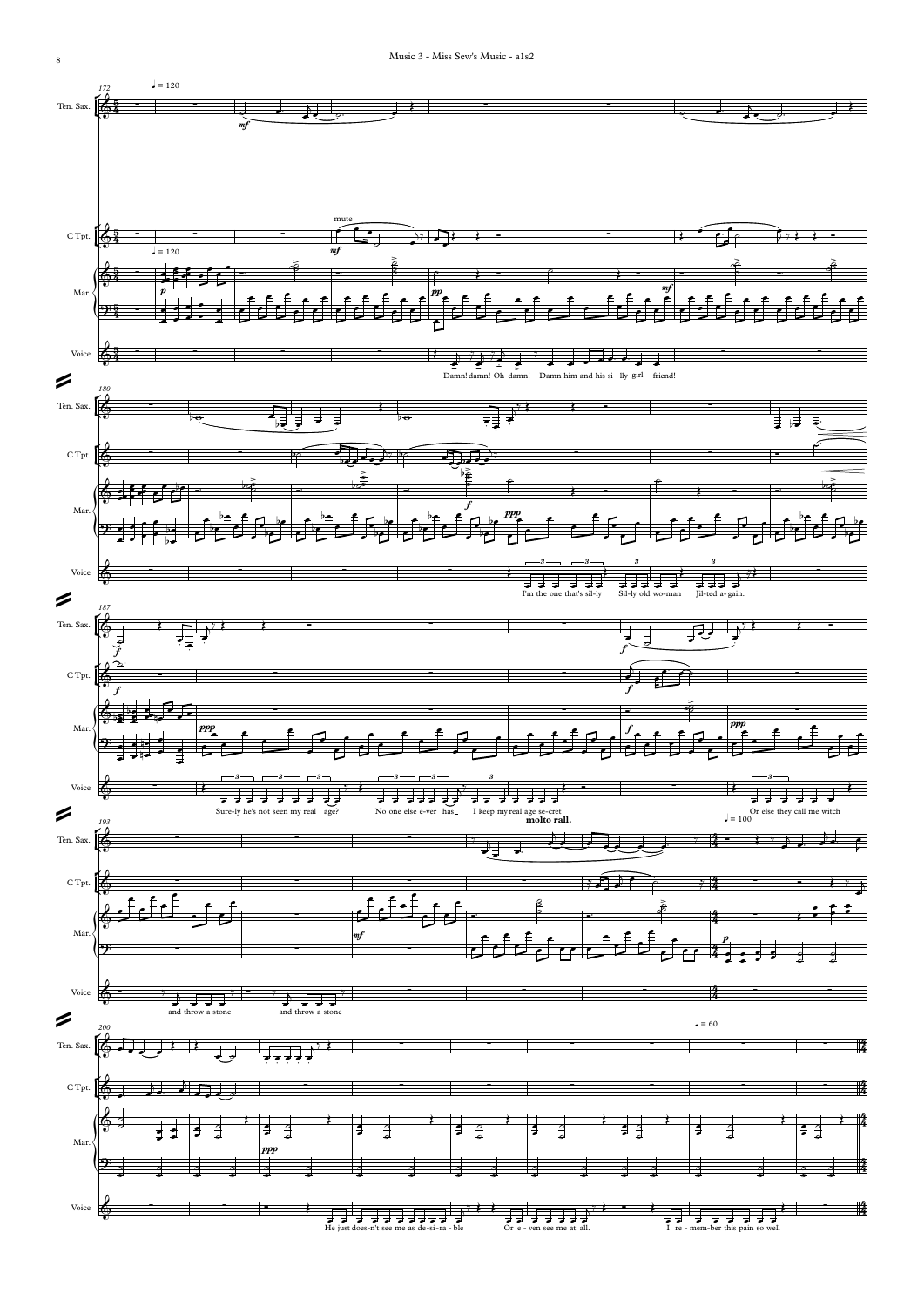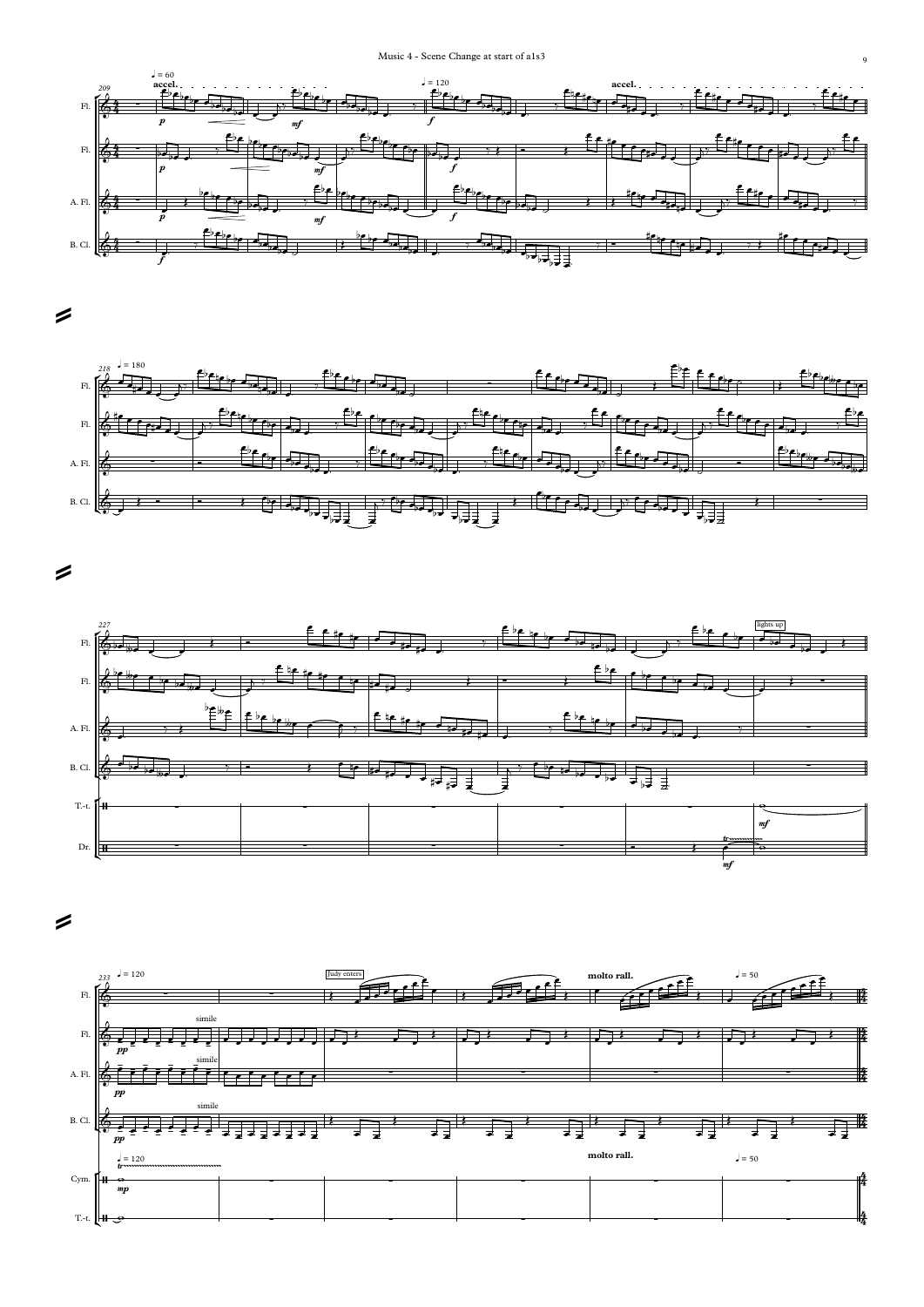





 $\mathbb{Z}$ 

 $\mathbb{Z}$ 







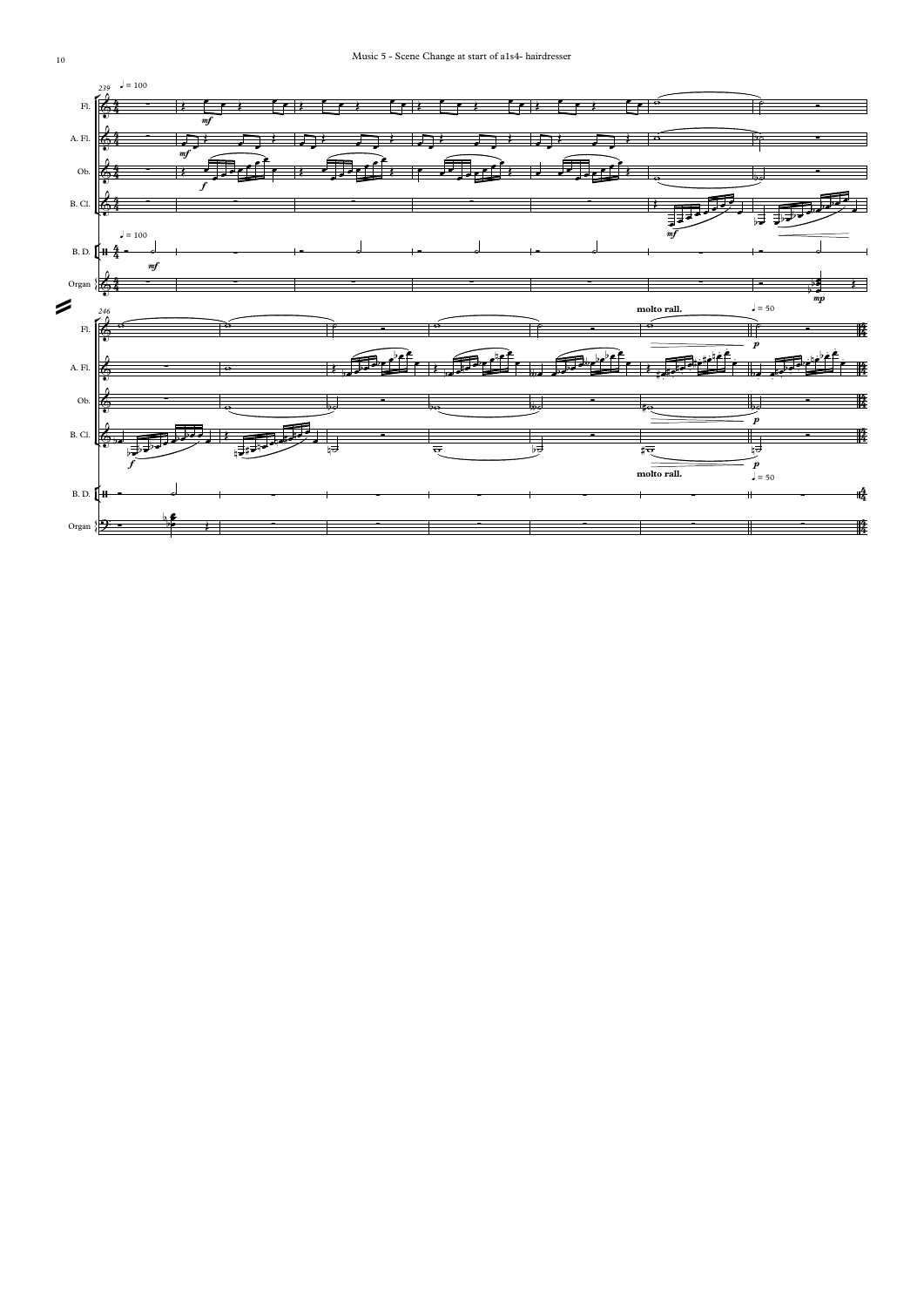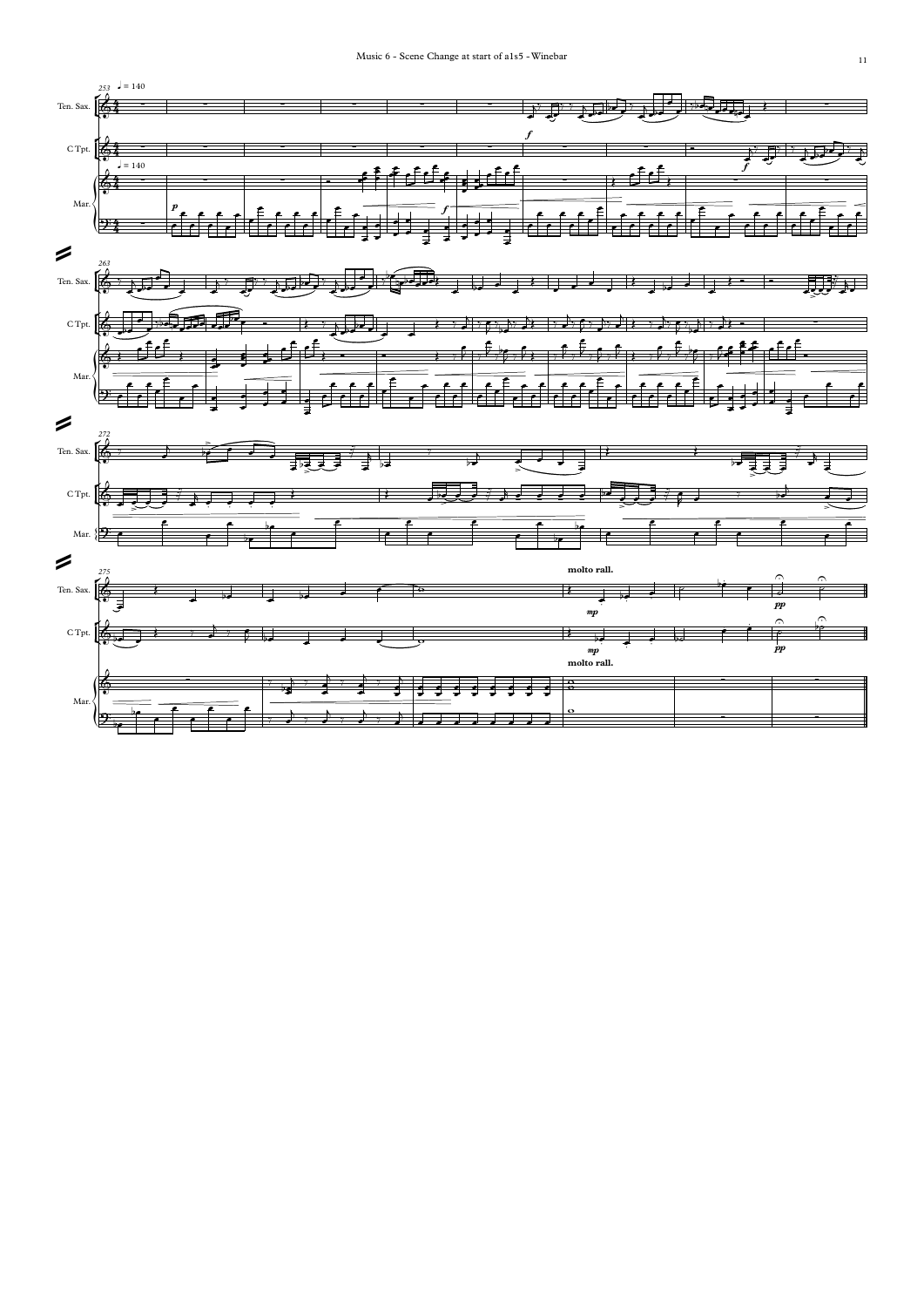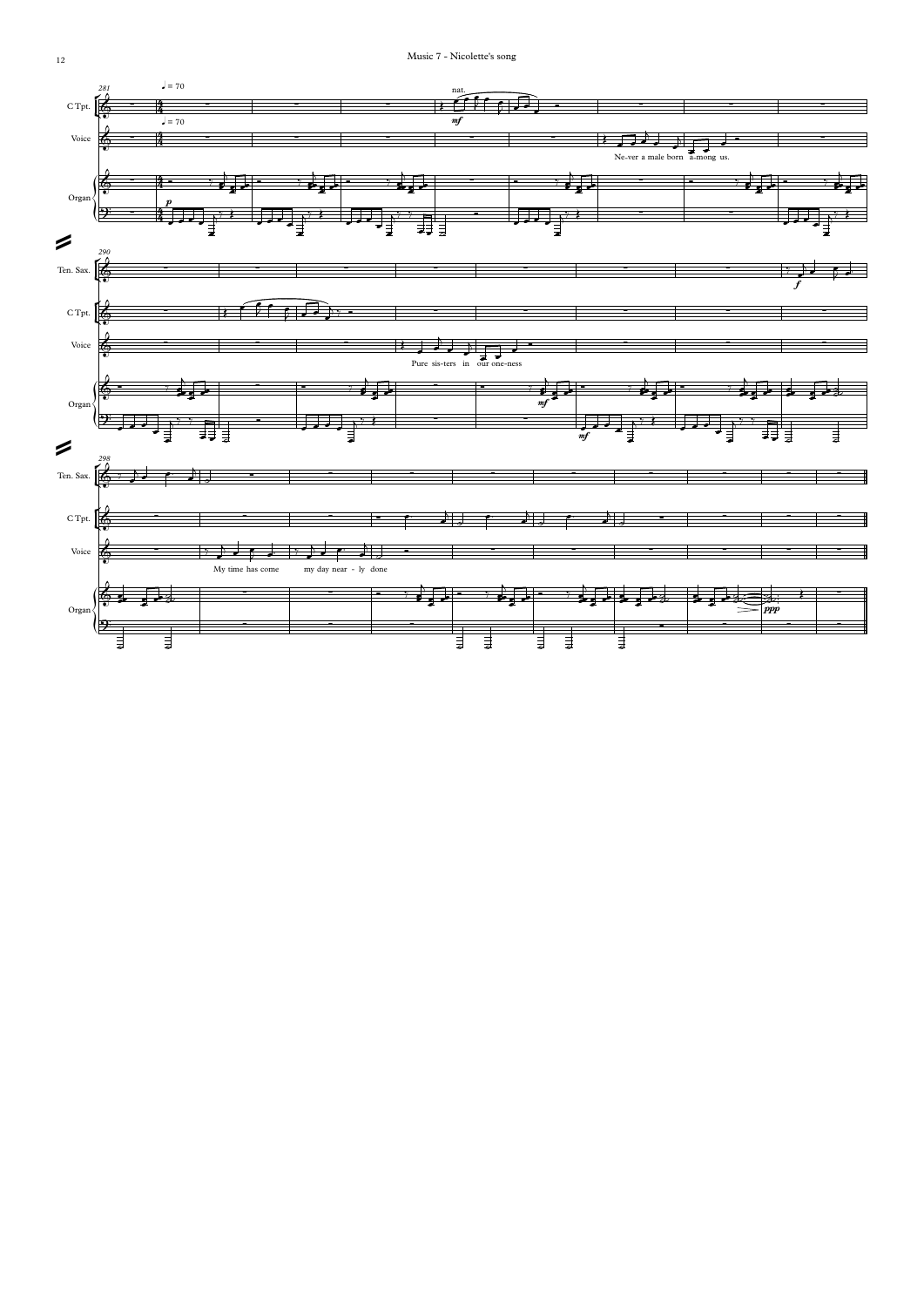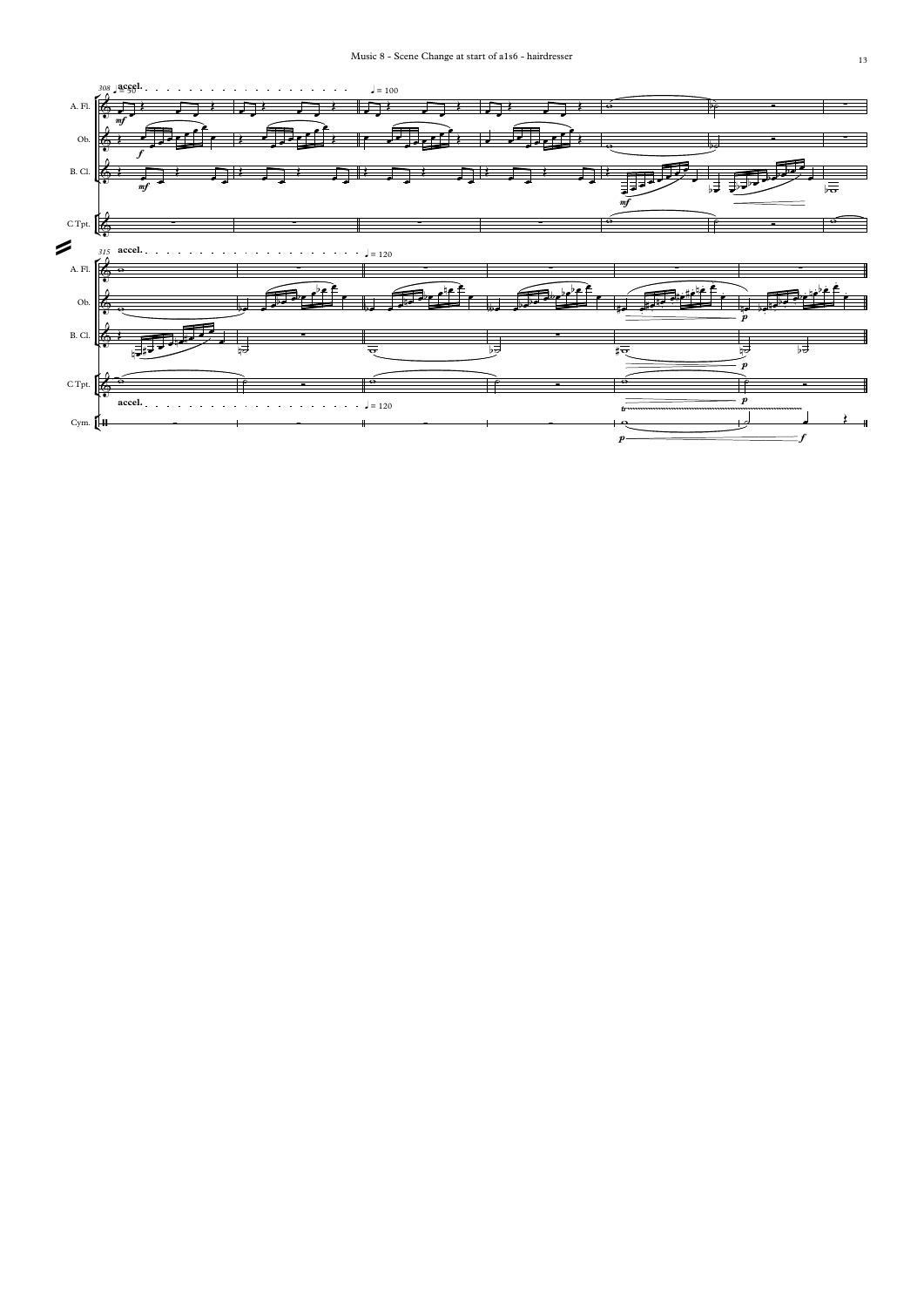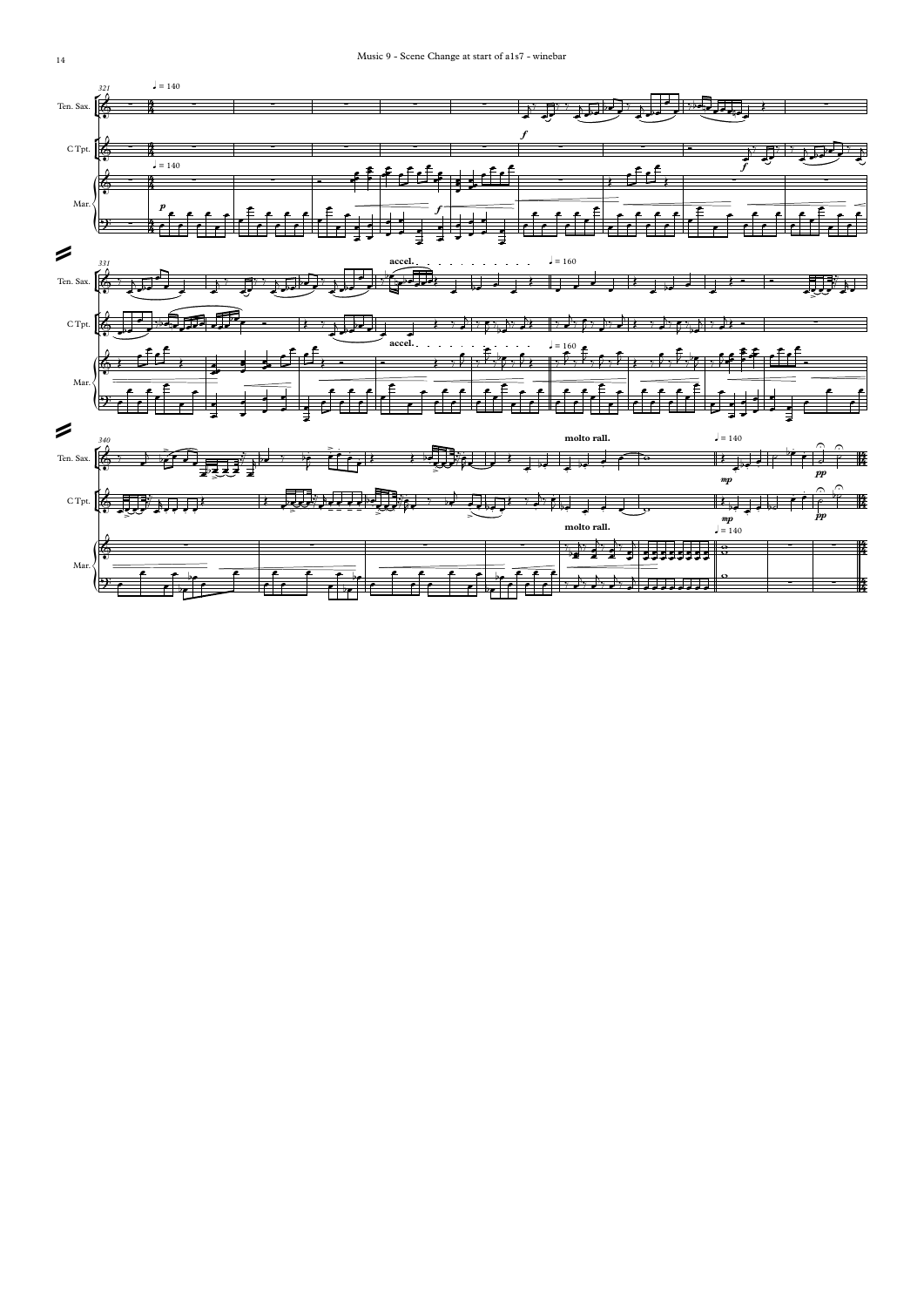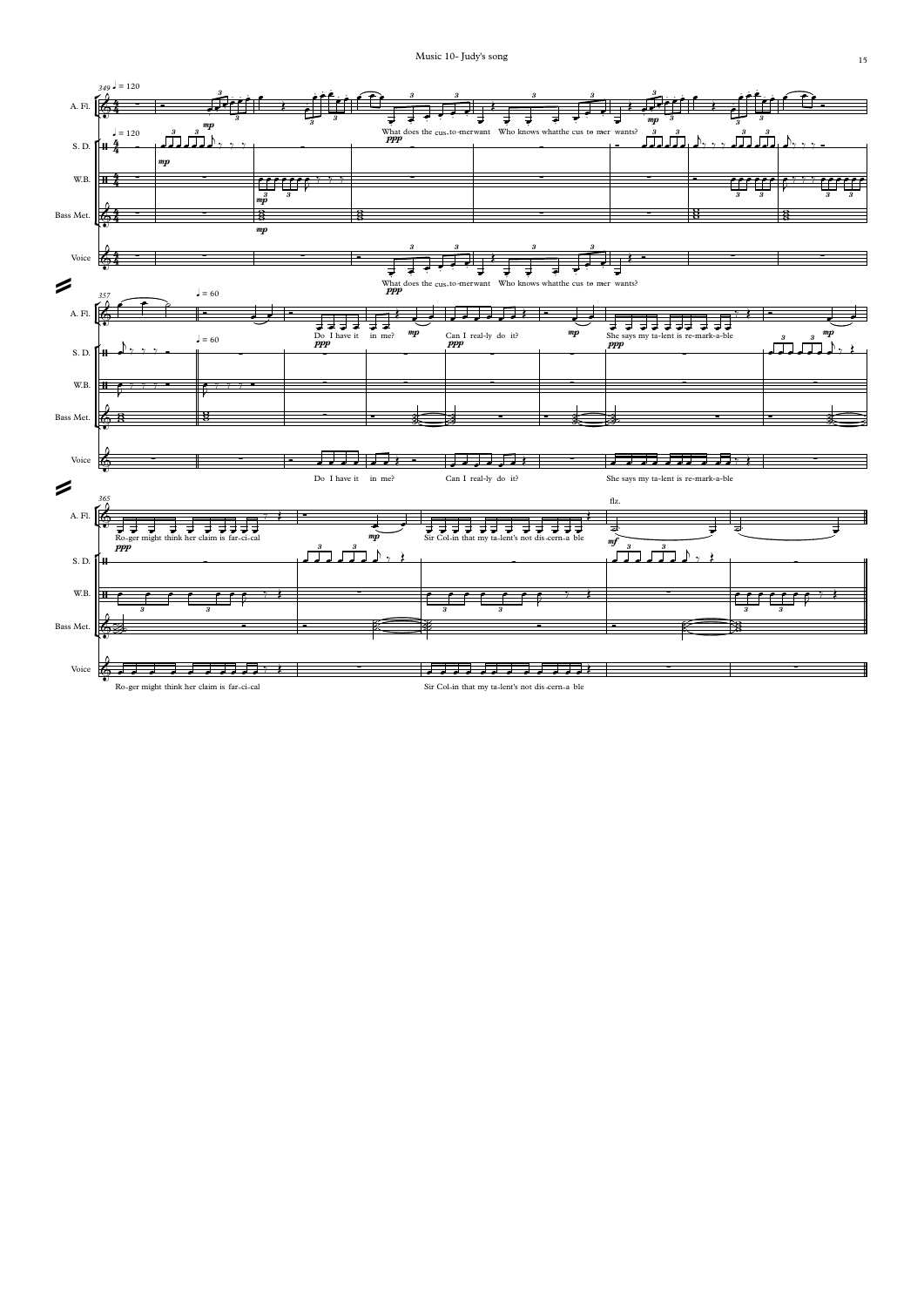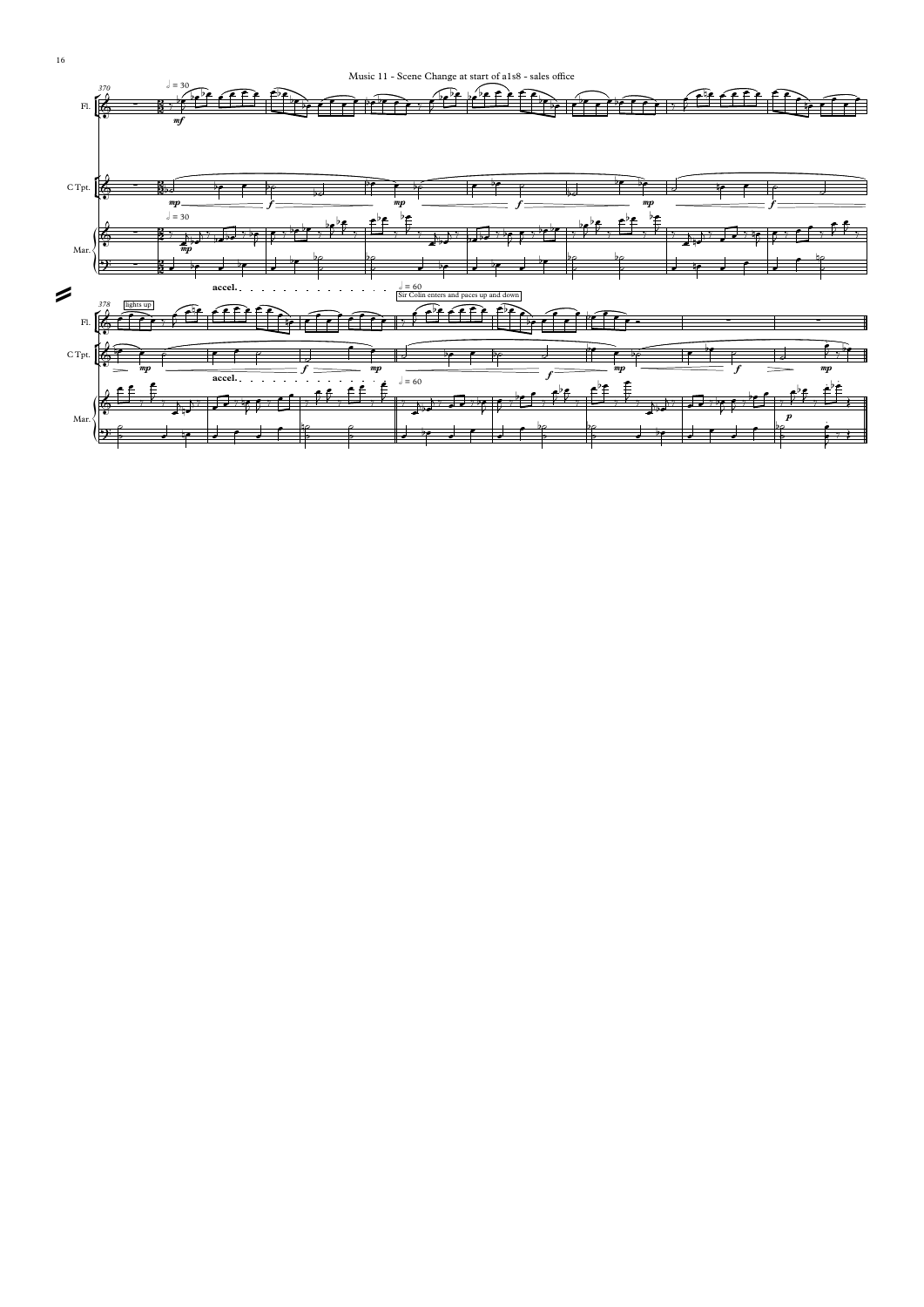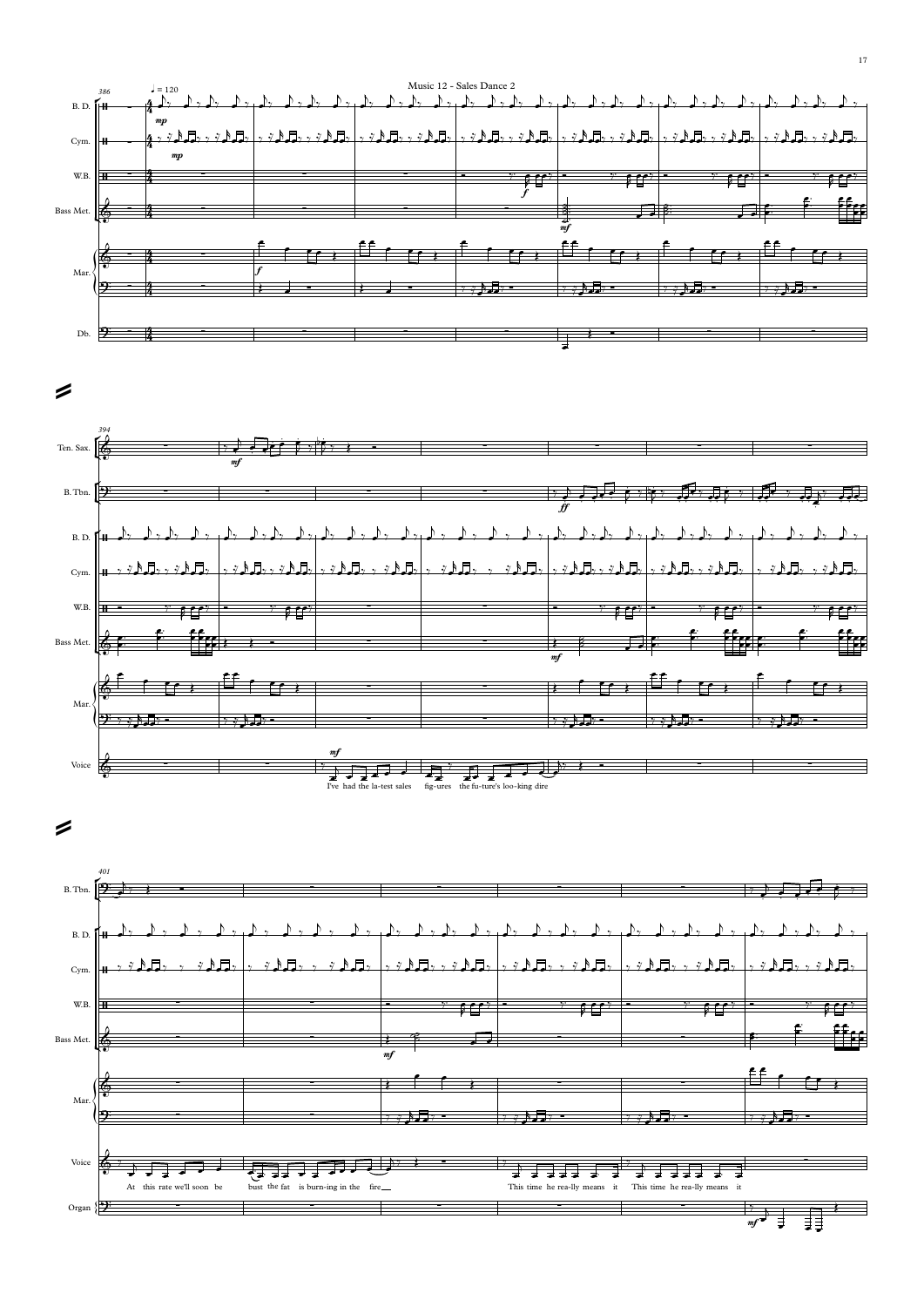







=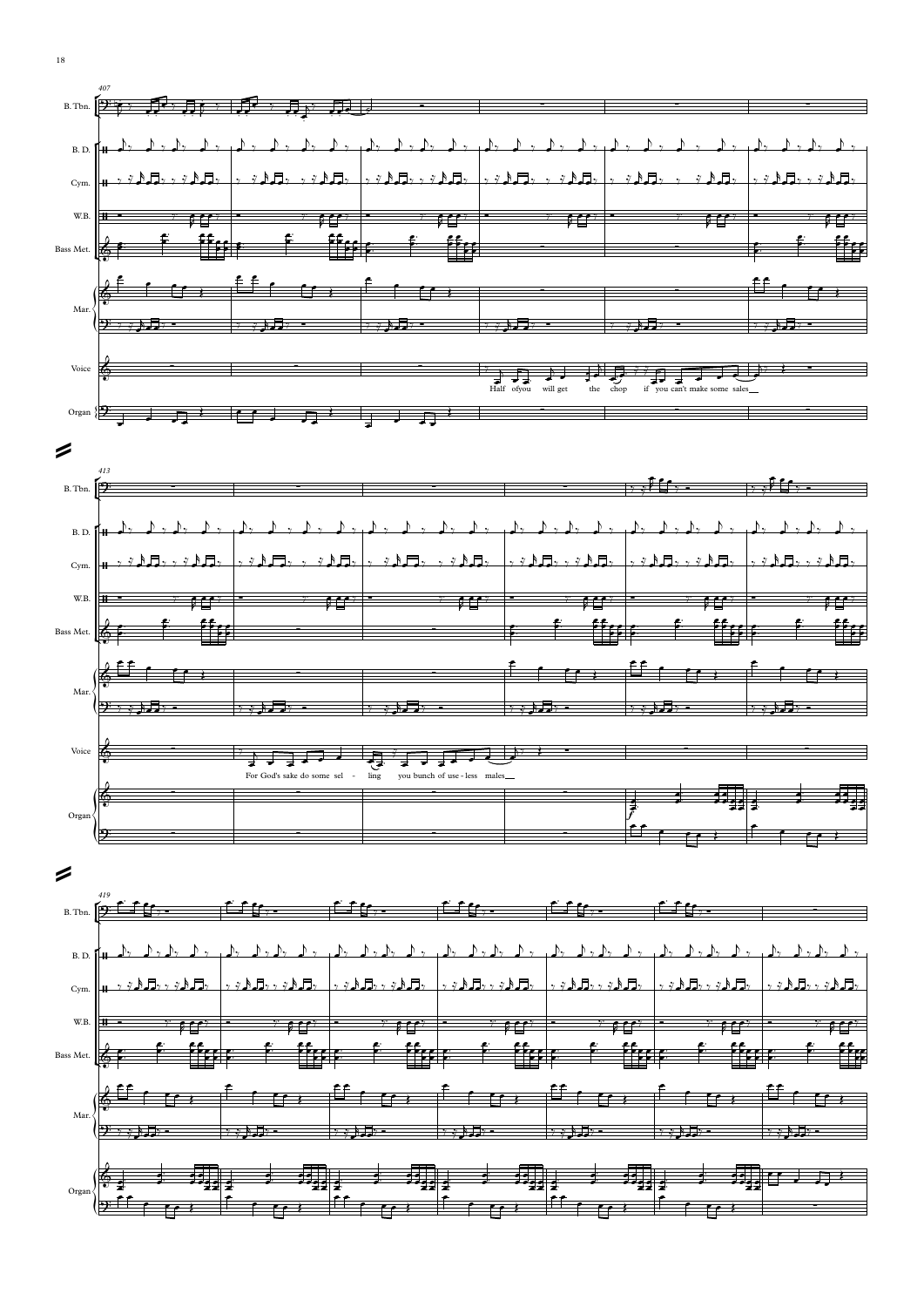

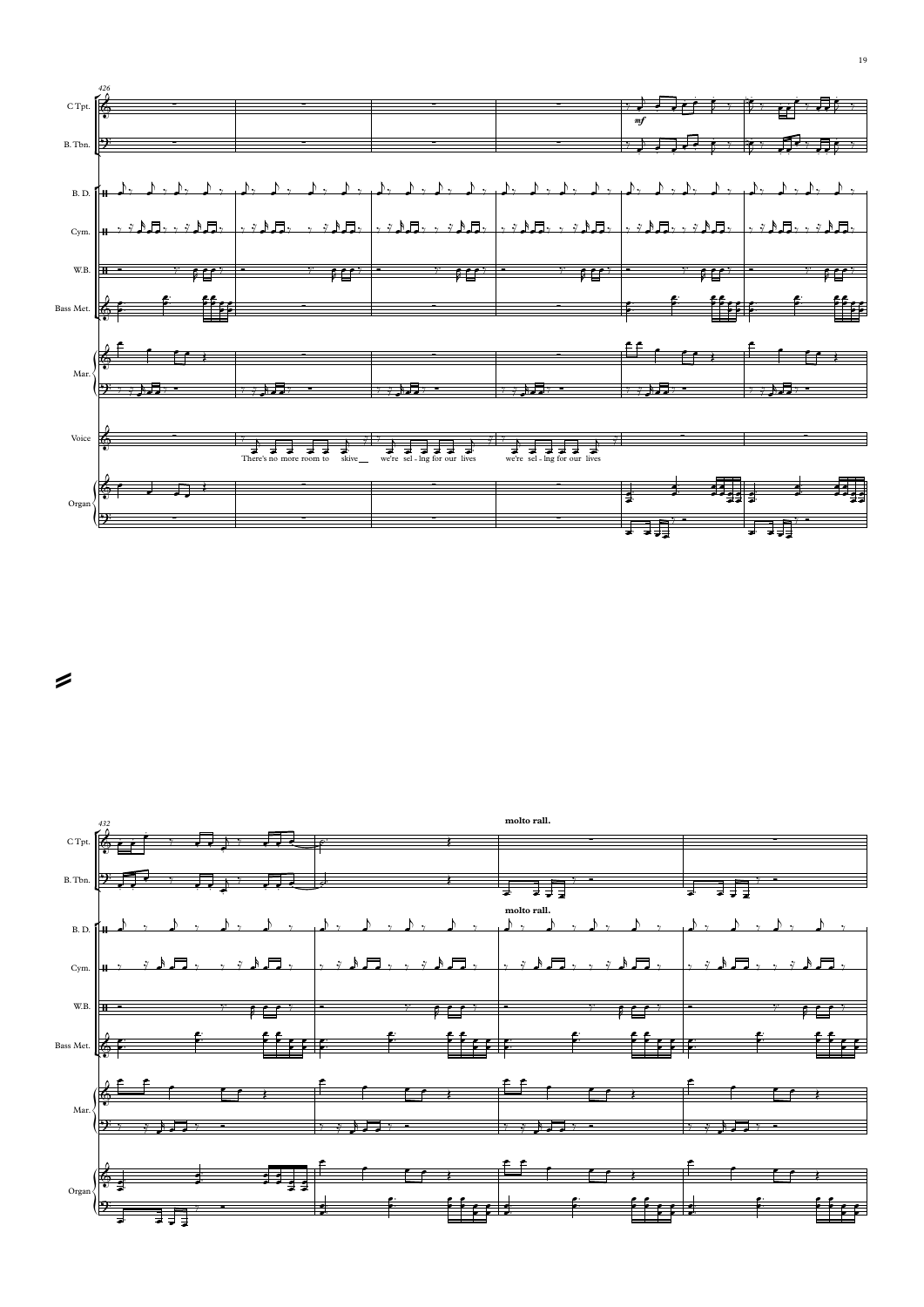





=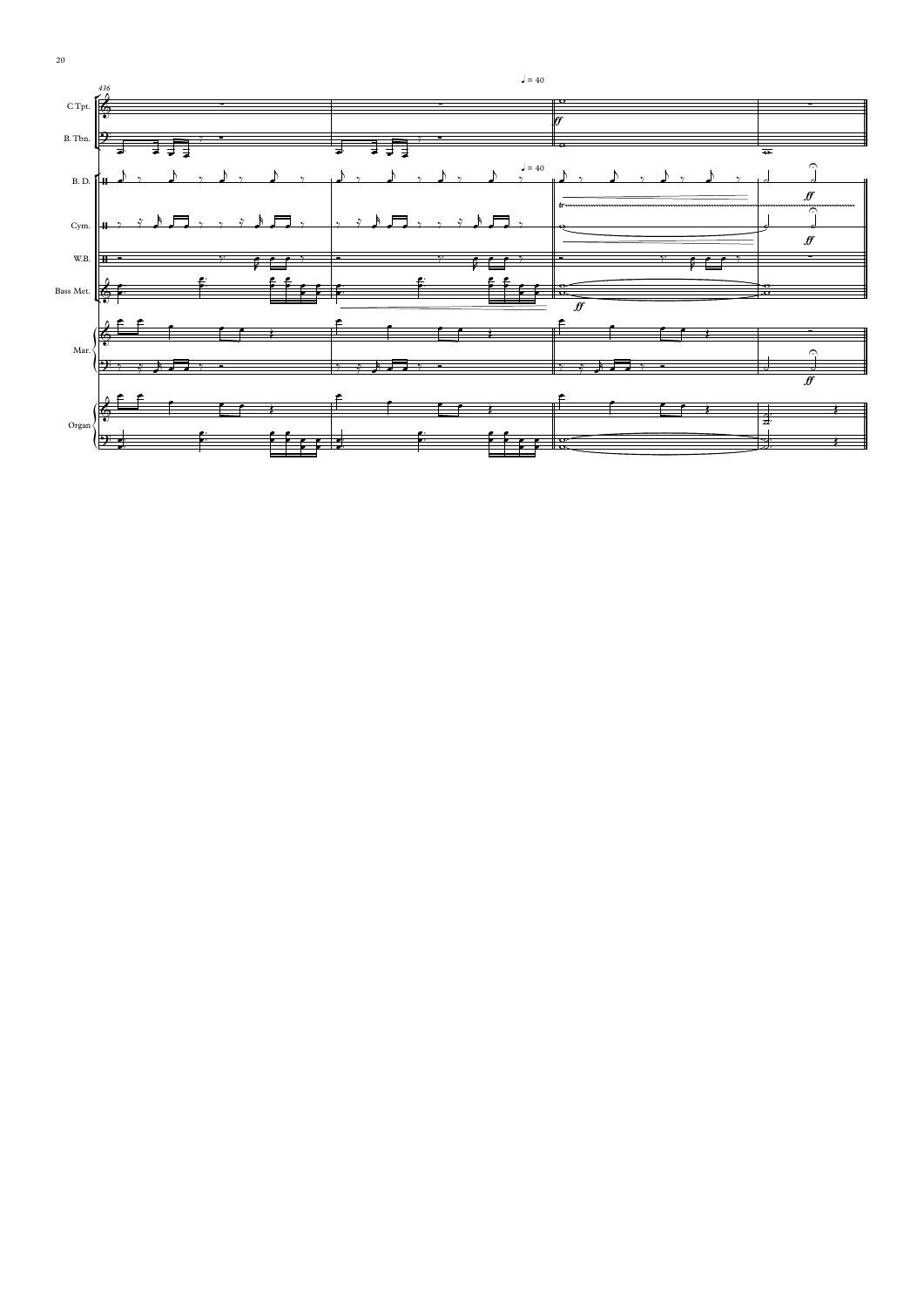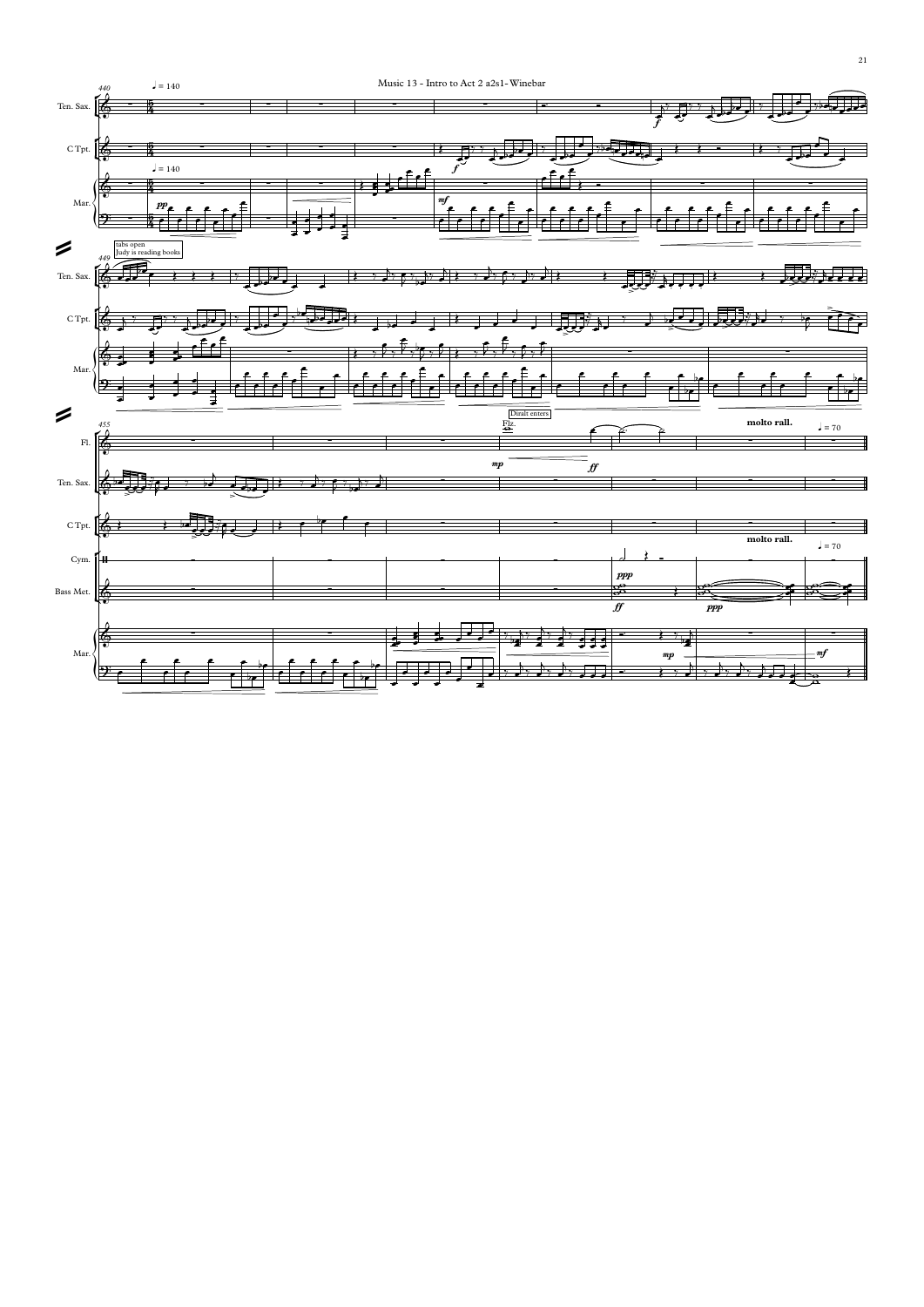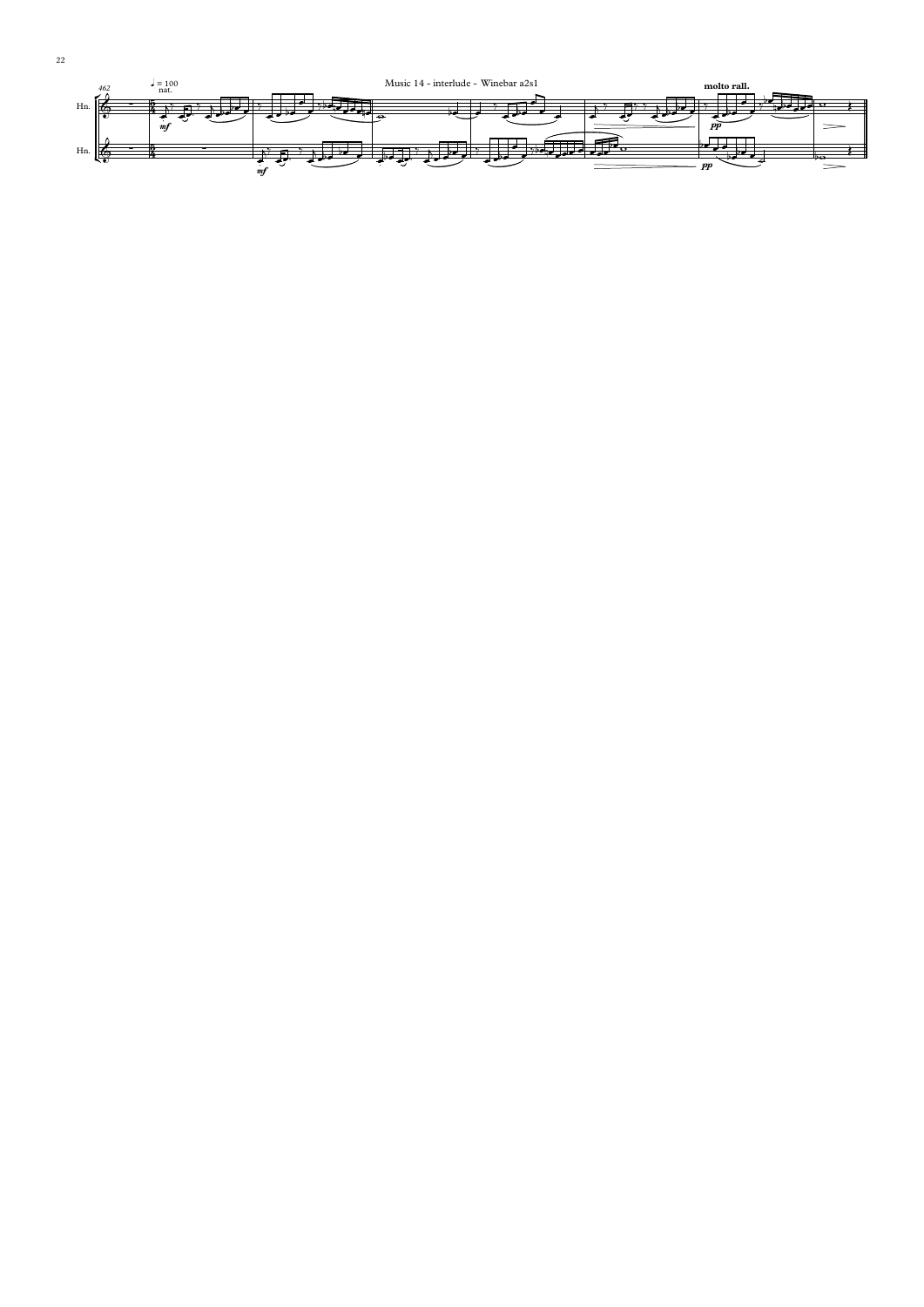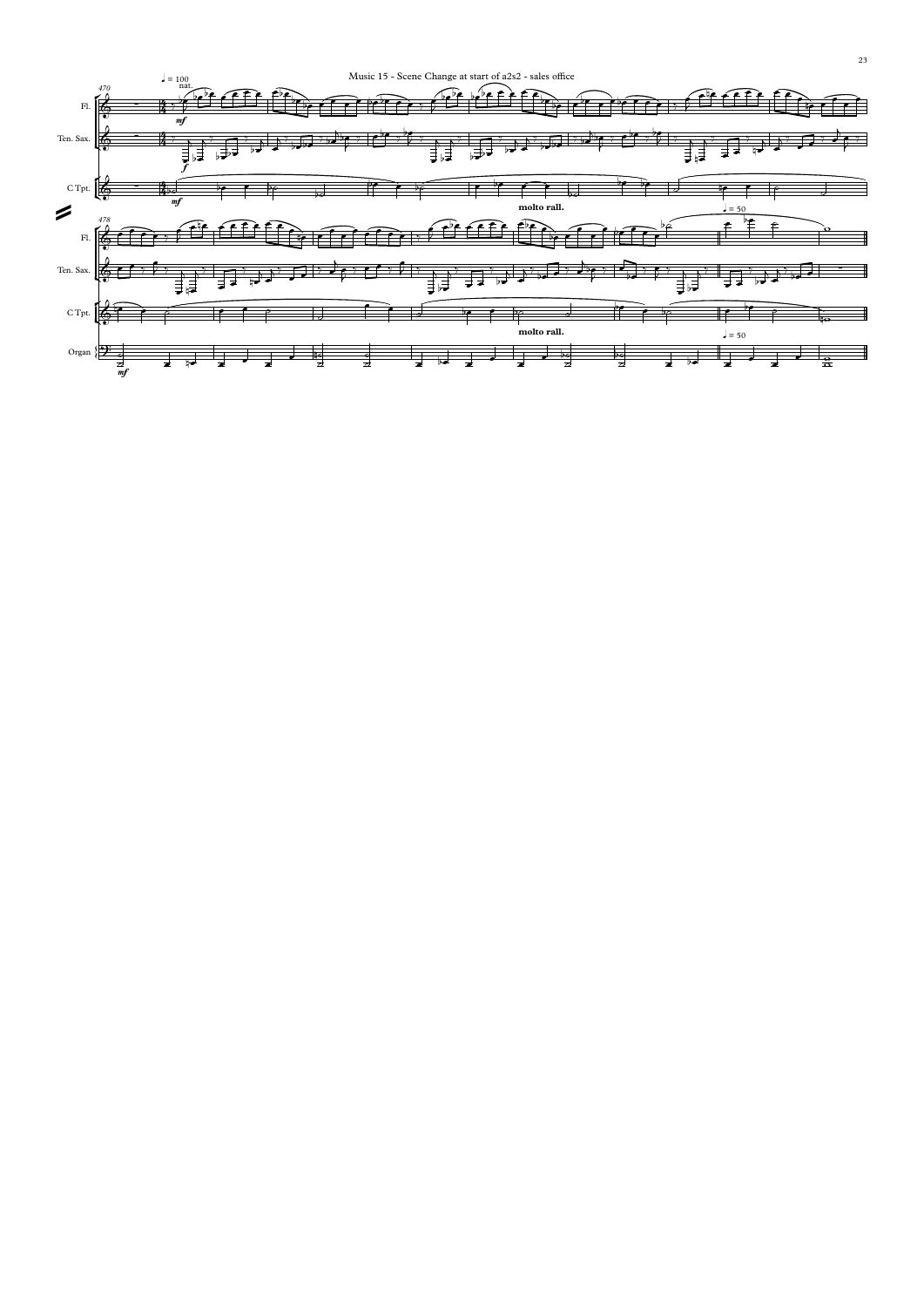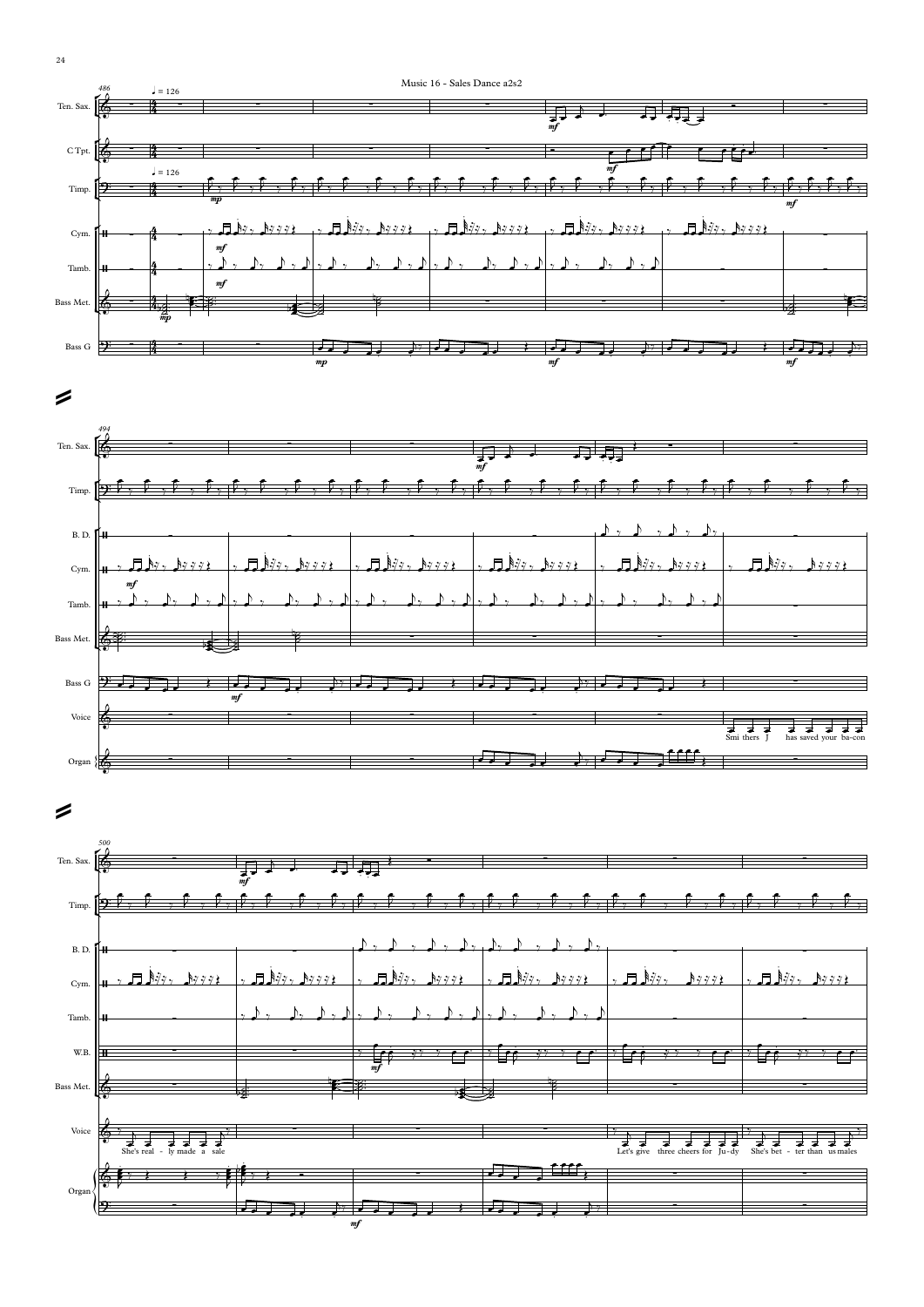

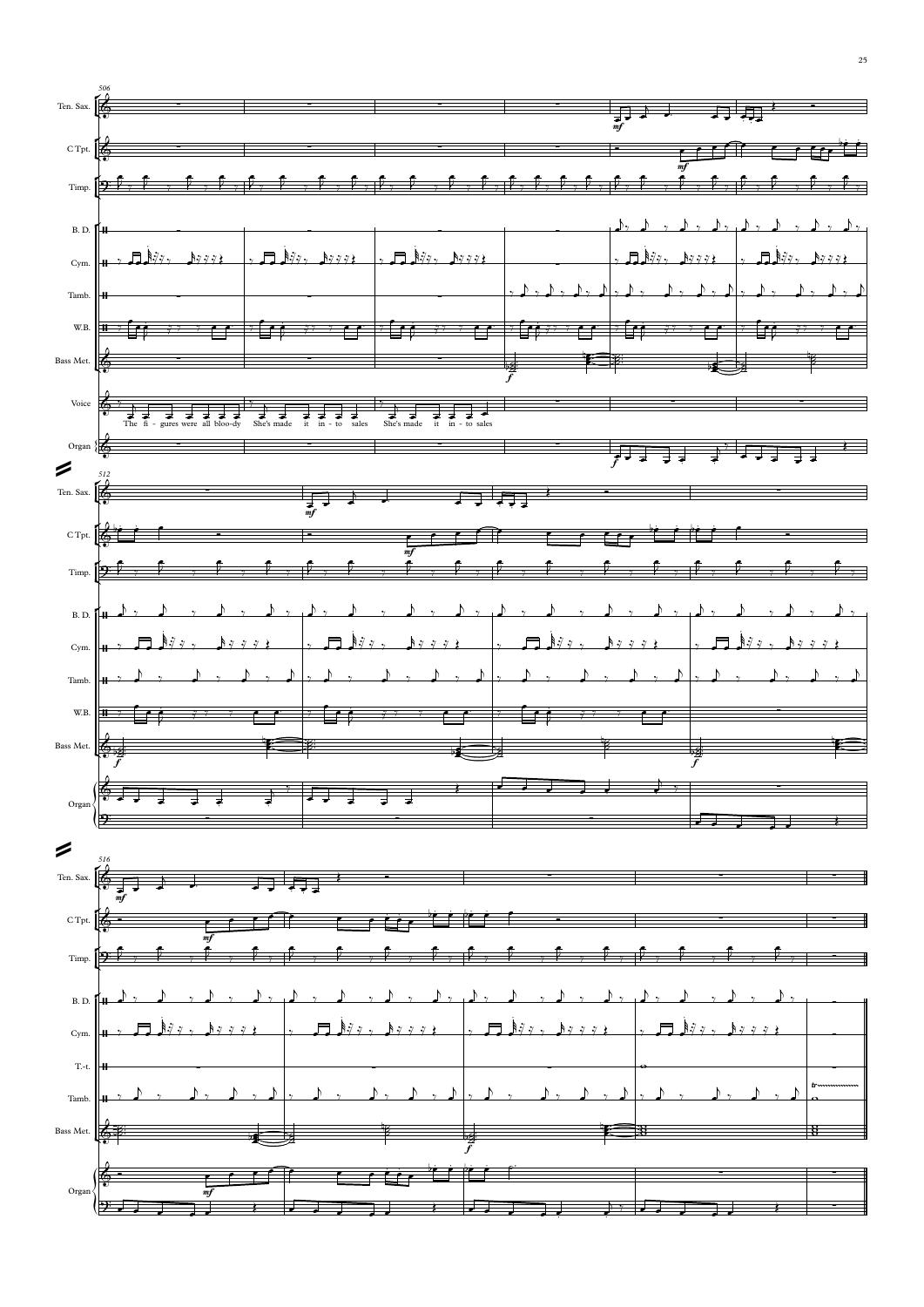

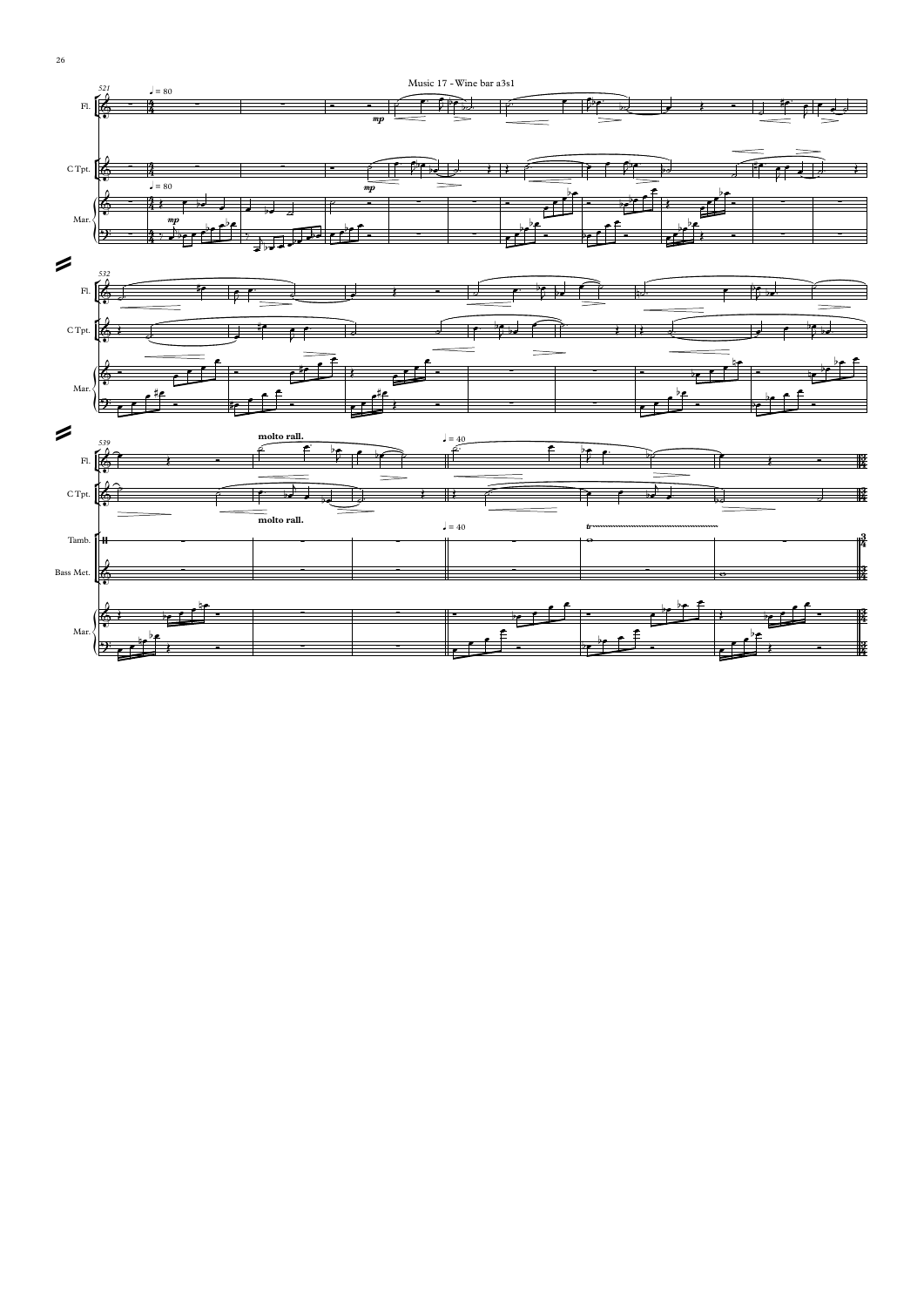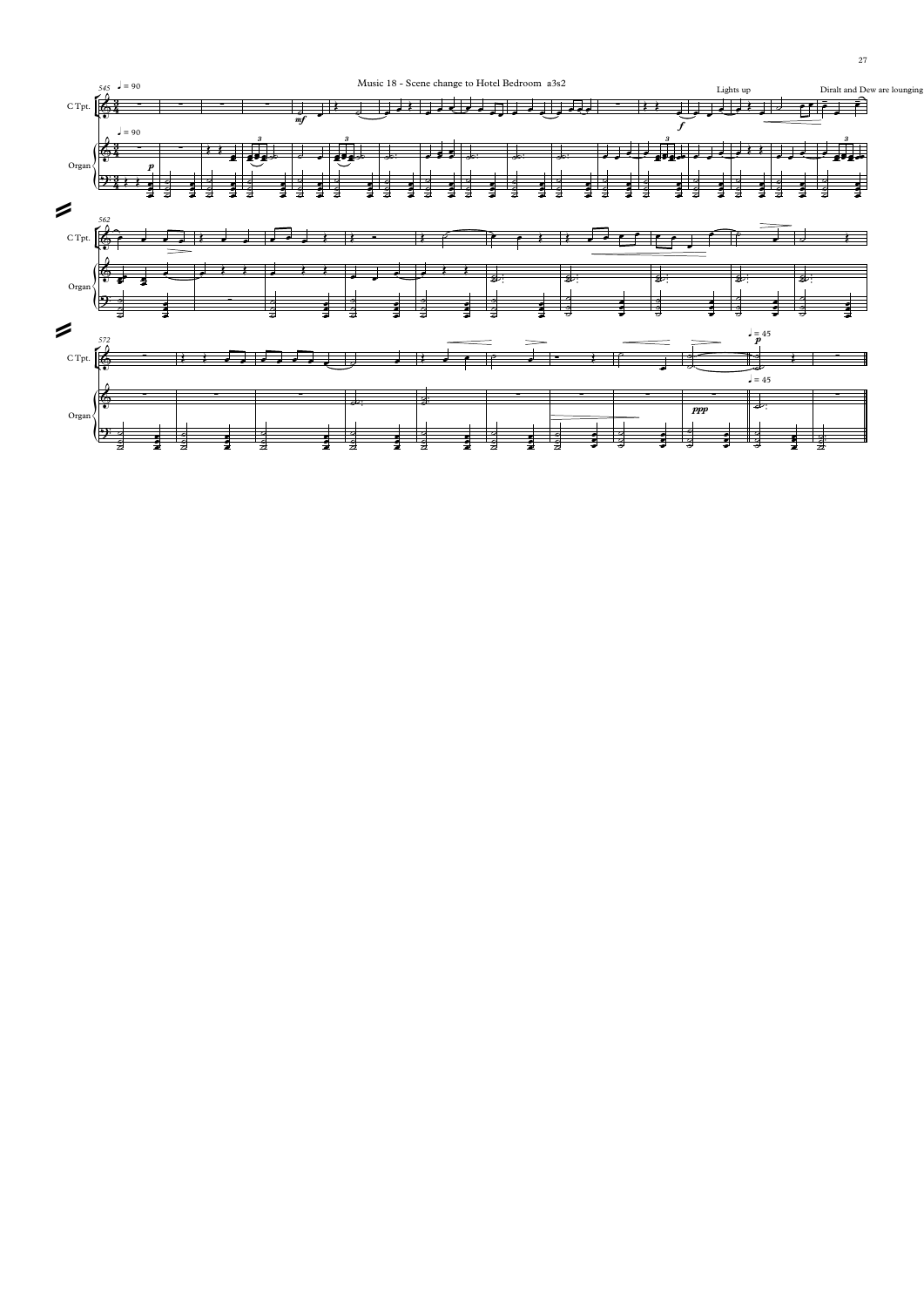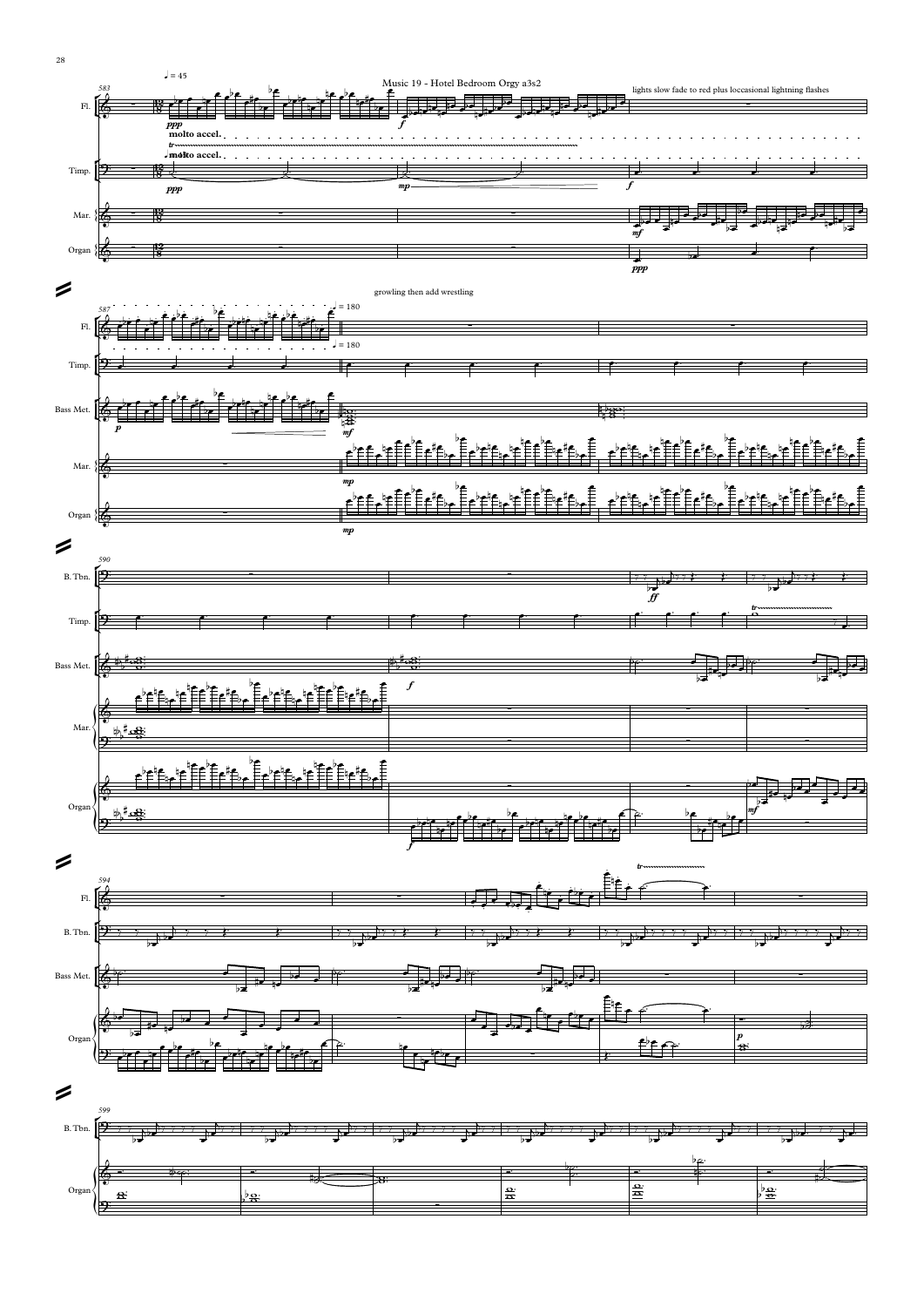



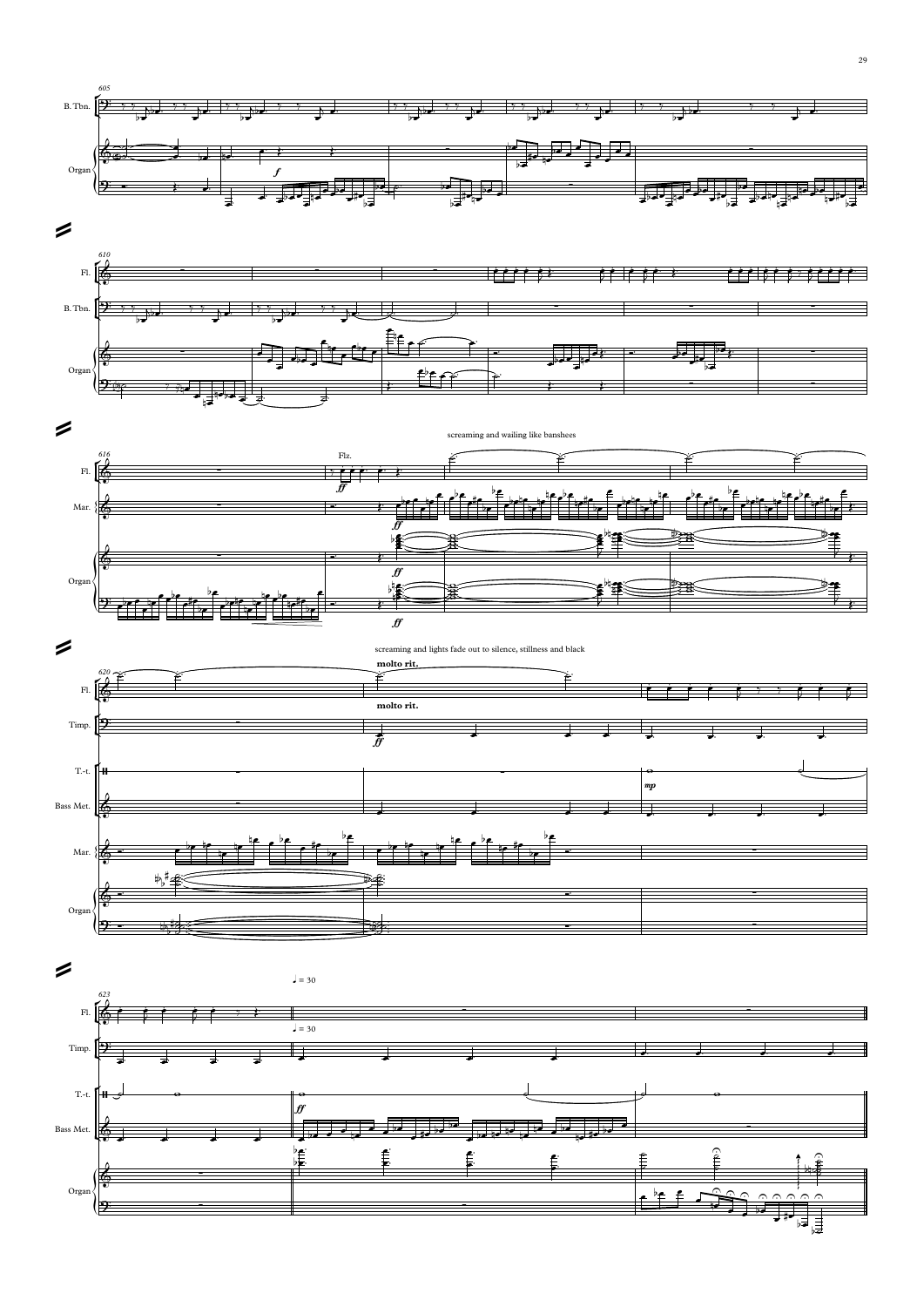







 $\sqrt{ } = 30$ 

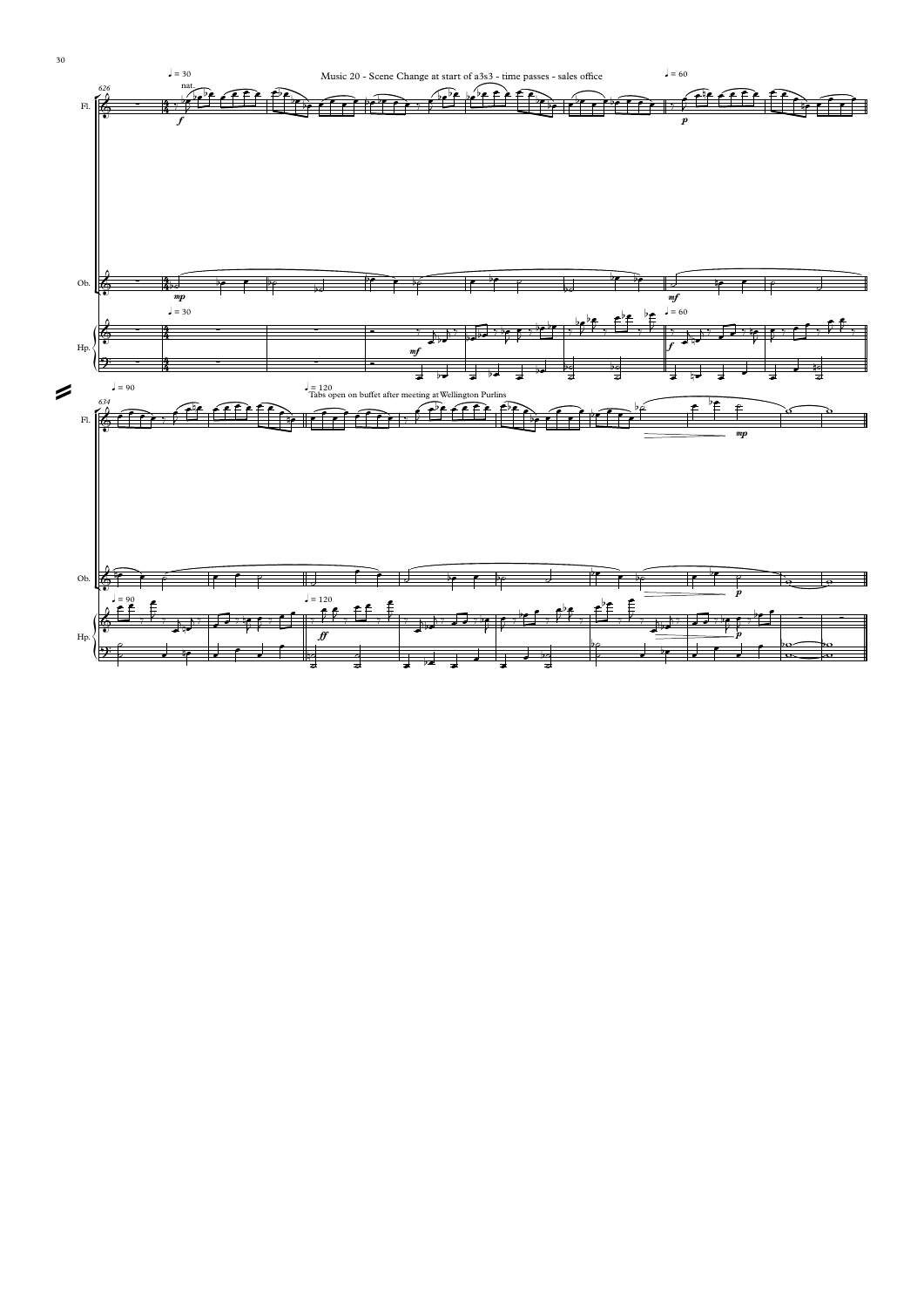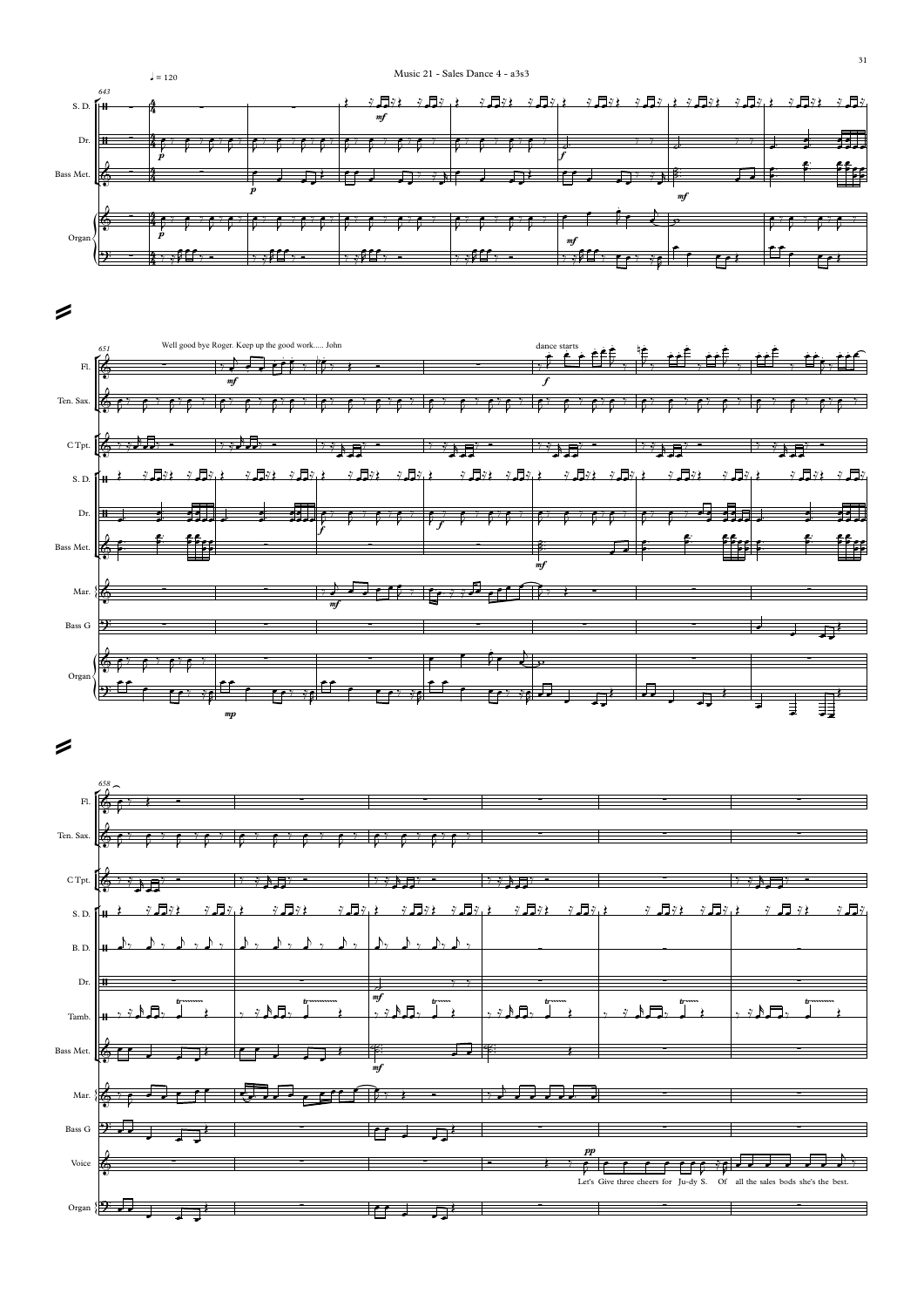

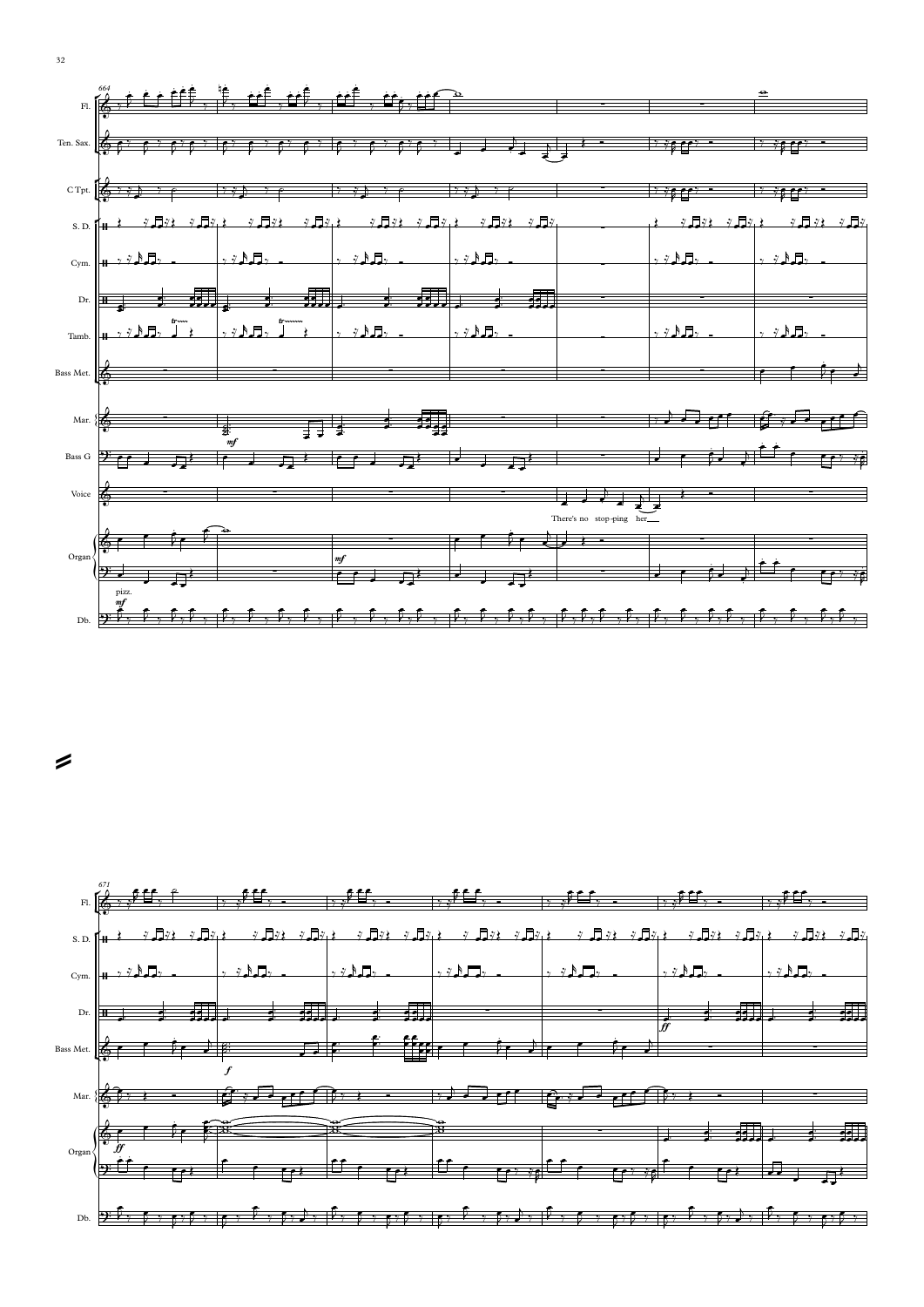





 $\mathbb{Z}$  and the set of  $\mathbb{Z}$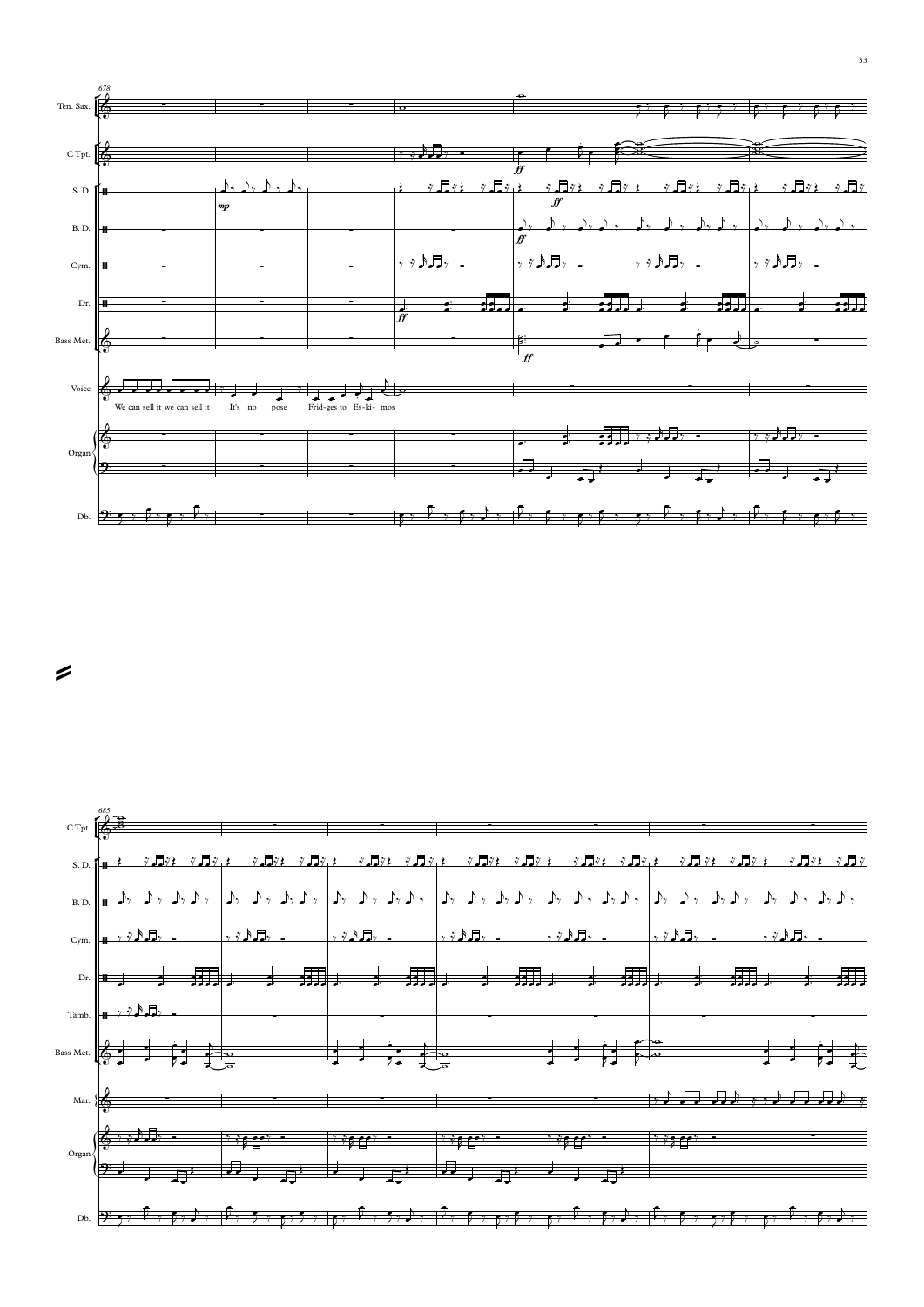



 $\mathbb{Z}$  and the set of  $\mathbb{Z}$